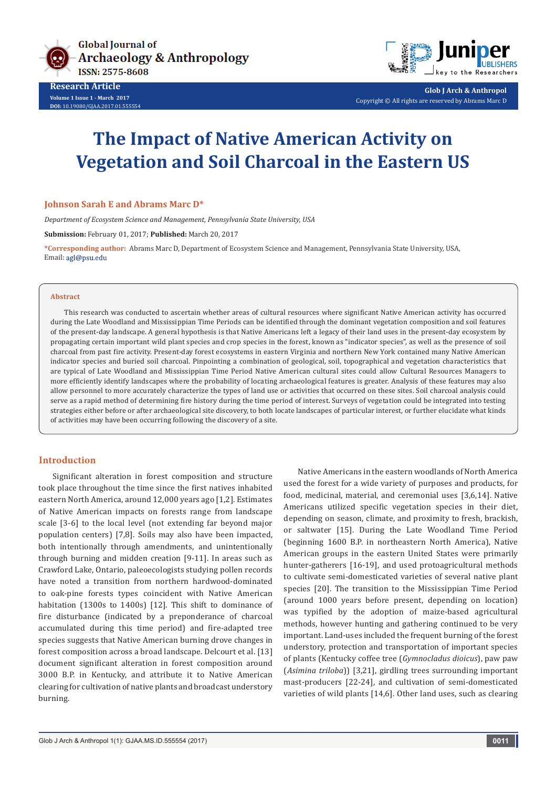

**Research Article Volume 1 Issue 1 - March 2017 DOI:** [10.19080/GJAA.2017.01.555554](http://dx.doi.org/10.19080/GJAA.2017.01.555554
)



**Glob J Arch & Anthropol** Copyright © All rights are reserved by Abrams Marc D

# **The Impact of Native American Activity on Vegetation and Soil Charcoal in the Eastern US**

## **Johnson Sarah E and Abrams Marc D\***

*Department of Ecosystem Science and Management, Pennsylvania State University, USA*

**Submission:** February 01, 2017; **Published:** March 20, 2017

**\*Corresponding author:** Abrams Marc D, Department of Ecosystem Science and Management, Pennsylvania State University, USA, Email: agl@psu.edu

#### **Abstract**

This research was conducted to ascertain whether areas of cultural resources where significant Native American activity has occurred during the Late Woodland and Mississippian Time Periods can be identified through the dominant vegetation composition and soil features of the present-day landscape. A general hypothesis is that Native Americans left a legacy of their land uses in the present-day ecosystem by propagating certain important wild plant species and crop species in the forest, known as "indicator species", as well as the presence of soil charcoal from past fire activity. Present-day forest ecosystems in eastern Virginia and northern New York contained many Native American indicator species and buried soil charcoal. Pinpointing a combination of geological, soil, topographical and vegetation characteristics that are typical of Late Woodland and Mississippian Time Period Native American cultural sites could allow Cultural Resources Managers to more efficiently identify landscapes where the probability of locating archaeological features is greater. Analysis of these features may also allow personnel to more accurately characterize the types of land use or activities that occurred on these sites. Soil charcoal analysis could serve as a rapid method of determining fire history during the time period of interest. Surveys of vegetation could be integrated into testing strategies either before or after archaeological site discovery, to both locate landscapes of particular interest, or further elucidate what kinds of activities may have been occurring following the discovery of a site.

#### **Introduction**

Significant alteration in forest composition and structure took place throughout the time since the first natives inhabited eastern North America, around 12,000 years ago [1,2]. Estimates of Native American impacts on forests range from landscape scale [3-6] to the local level (not extending far beyond major population centers) [7,8]. Soils may also have been impacted, both intentionally through amendments, and unintentionally through burning and midden creation [9-11]. In areas such as Crawford Lake, Ontario, paleoecologists studying pollen records have noted a transition from northern hardwood-dominated to oak-pine forests types coincident with Native American habitation (1300s to 1400s) [12]. This shift to dominance of fire disturbance (indicated by a preponderance of charcoal accumulated during this time period) and fire-adapted tree species suggests that Native American burning drove changes in forest composition across a broad landscape. Delcourt et al. [13] document significant alteration in forest composition around 3000 B.P. in Kentucky, and attribute it to Native American clearing for cultivation of native plants and broadcast understory burning.

Native Americans in the eastern woodlands of North America used the forest for a wide variety of purposes and products, for food, medicinal, material, and ceremonial uses [3,6,14]. Native Americans utilized specific vegetation species in their diet, depending on season, climate, and proximity to fresh, brackish, or saltwater [15]. During the Late Woodland Time Period (beginning 1600 B.P. in northeastern North America), Native American groups in the eastern United States were primarily hunter-gatherers [16-19], and used protoagricultural methods to cultivate semi-domesticated varieties of several native plant species [20]. The transition to the Mississippian Time Period (around 1000 years before present, depending on location) was typified by the adoption of maize-based agricultural methods, however hunting and gathering continued to be very important. Land-uses included the frequent burning of the forest understory, protection and transportation of important species of plants (Kentucky coffee tree (*Gymnocladus dioicus*), paw paw (*Asimina triloba*)) [3,21], girdling trees surrounding important mast-producers [22-24], and cultivation of semi-domesticated varieties of wild plants [14,6]. Other land uses, such as clearing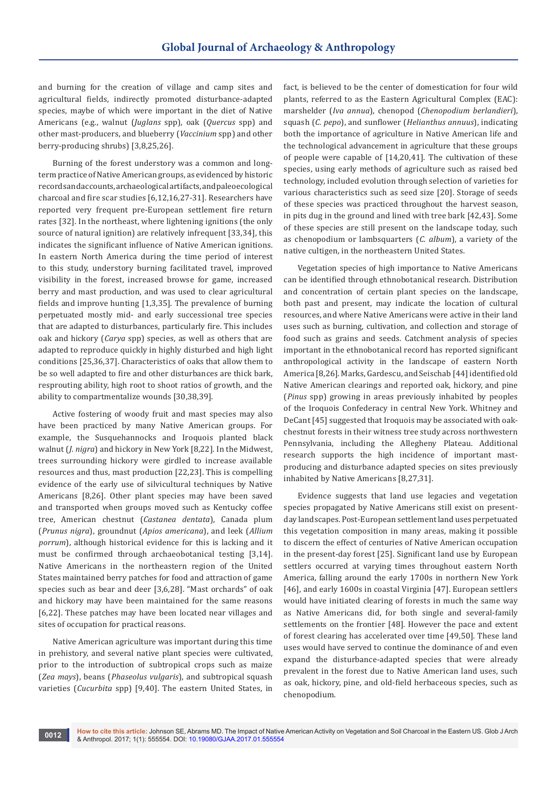and burning for the creation of village and camp sites and agricultural fields, indirectly promoted disturbance-adapted species, maybe of which were important in the diet of Native Americans (e.g., walnut (*Juglans* spp), oak (*Quercus* spp) and other mast-producers, and blueberry (*Vaccinium* spp) and other berry-producing shrubs) [3,8,25,26].

Burning of the forest understory was a common and longterm practice of Native American groups, as evidenced by historic records and accounts, archaeological artifacts, and paleoecological charcoal and fire scar studies [6,12,16,27-31]. Researchers have reported very frequent pre-European settlement fire return rates [32]. In the northeast, where lightening ignitions (the only source of natural ignition) are relatively infrequent [33,34], this indicates the significant influence of Native American ignitions. In eastern North America during the time period of interest to this study, understory burning facilitated travel, improved visibility in the forest, increased browse for game, increased berry and mast production, and was used to clear agricultural fields and improve hunting [1,3,35]. The prevalence of burning perpetuated mostly mid- and early successional tree species that are adapted to disturbances, particularly fire. This includes oak and hickory (*Carya* spp) species, as well as others that are adapted to reproduce quickly in highly disturbed and high light conditions [25,36,37]. Characteristics of oaks that allow them to be so well adapted to fire and other disturbances are thick bark, resprouting ability, high root to shoot ratios of growth, and the ability to compartmentalize wounds [30,38,39].

Active fostering of woody fruit and mast species may also have been practiced by many Native American groups. For example, the Susquehannocks and Iroquois planted black walnut (*J. nigra*) and hickory in New York [8,22]. In the Midwest, trees surrounding hickory were girdled to increase available resources and thus, mast production [22,23]. This is compelling evidence of the early use of silvicultural techniques by Native Americans [8,26]. Other plant species may have been saved and transported when groups moved such as Kentucky coffee tree, American chestnut (*Castanea dentata*), Canada plum (*Prunus nigra*), groundnut (*Apios americana*), and leek (*Allium porrum*), although historical evidence for this is lacking and it must be confirmed through archaeobotanical testing [3,14]. Native Americans in the northeastern region of the United States maintained berry patches for food and attraction of game species such as bear and deer [3,6,28]. "Mast orchards" of oak and hickory may have been maintained for the same reasons [6,22]. These patches may have been located near villages and sites of occupation for practical reasons.

Native American agriculture was important during this time in prehistory, and several native plant species were cultivated, prior to the introduction of subtropical crops such as maize (*Zea mays*), beans (*Phaseolus vulgaris*), and subtropical squash varieties (*Cucurbita* spp) [9,40]. The eastern United States, in

fact, is believed to be the center of domestication for four wild plants, referred to as the Eastern Agricultural Complex (EAC): marshelder (*Iva annua*), chenopod (*Chenopodium berlandieri*), squash (*C. pepo*), and sunflower (*Helianthus annuus*), indicating both the importance of agriculture in Native American life and the technological advancement in agriculture that these groups of people were capable of [14,20,41]. The cultivation of these species, using early methods of agriculture such as raised bed technology, included evolution through selection of varieties for various characteristics such as seed size [20]. Storage of seeds of these species was practiced throughout the harvest season, in pits dug in the ground and lined with tree bark [42,43]. Some of these species are still present on the landscape today, such as chenopodium or lambsquarters (*C. album*), a variety of the native cultigen, in the northeastern United States.

Vegetation species of high importance to Native Americans can be identified through ethnobotanical research. Distribution and concentration of certain plant species on the landscape, both past and present, may indicate the location of cultural resources, and where Native Americans were active in their land uses such as burning, cultivation, and collection and storage of food such as grains and seeds. Catchment analysis of species important in the ethnobotanical record has reported significant anthropological activity in the landscape of eastern North America [8,26]. Marks, Gardescu, and Seischab [44] identified old Native American clearings and reported oak, hickory, and pine (*Pinus* spp) growing in areas previously inhabited by peoples of the Iroquois Confederacy in central New York. Whitney and DeCant [45] suggested that Iroquois may be associated with oakchestnut forests in their witness tree study across northwestern Pennsylvania, including the Allegheny Plateau. Additional research supports the high incidence of important mastproducing and disturbance adapted species on sites previously inhabited by Native Americans [8,27,31].

Evidence suggests that land use legacies and vegetation species propagated by Native Americans still exist on presentday landscapes. Post-European settlement land uses perpetuated this vegetation composition in many areas, making it possible to discern the effect of centuries of Native American occupation in the present-day forest [25]. Significant land use by European settlers occurred at varying times throughout eastern North America, falling around the early 1700s in northern New York [46], and early 1600s in coastal Virginia [47]. European settlers would have initiated clearing of forests in much the same way as Native Americans did, for both single and several-family settlements on the frontier [48]. However the pace and extent of forest clearing has accelerated over time [49,50]. These land uses would have served to continue the dominance of and even expand the disturbance-adapted species that were already prevalent in the forest due to Native American land uses, such as oak, hickory, pine, and old-field herbaceous species, such as chenopodium.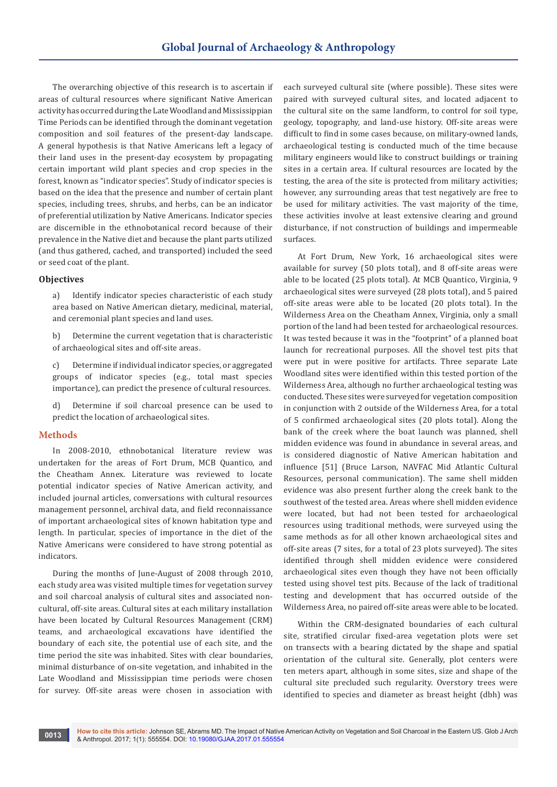The overarching objective of this research is to ascertain if areas of cultural resources where significant Native American activity has occurred during the Late Woodland and Mississippian Time Periods can be identified through the dominant vegetation composition and soil features of the present-day landscape. A general hypothesis is that Native Americans left a legacy of their land uses in the present-day ecosystem by propagating certain important wild plant species and crop species in the forest, known as "indicator species". Study of indicator species is based on the idea that the presence and number of certain plant species, including trees, shrubs, and herbs, can be an indicator of preferential utilization by Native Americans. Indicator species are discernible in the ethnobotanical record because of their prevalence in the Native diet and because the plant parts utilized (and thus gathered, cached, and transported) included the seed or seed coat of the plant.

#### **Objectives**

a) Identify indicator species characteristic of each study area based on Native American dietary, medicinal, material, and ceremonial plant species and land uses.

b) Determine the current vegetation that is characteristic of archaeological sites and off-site areas.

c) Determine if individual indicator species, or aggregated groups of indicator species (e.g., total mast species importance), can predict the presence of cultural resources.

d) Determine if soil charcoal presence can be used to predict the location of archaeological sites.

## **Methods**

In 2008-2010, ethnobotanical literature review was undertaken for the areas of Fort Drum, MCB Quantico, and the Cheatham Annex. Literature was reviewed to locate potential indicator species of Native American activity, and included journal articles, conversations with cultural resources management personnel, archival data, and field reconnaissance of important archaeological sites of known habitation type and length. In particular, species of importance in the diet of the Native Americans were considered to have strong potential as indicators.

During the months of June-August of 2008 through 2010, each study area was visited multiple times for vegetation survey and soil charcoal analysis of cultural sites and associated noncultural, off-site areas. Cultural sites at each military installation have been located by Cultural Resources Management (CRM) teams, and archaeological excavations have identified the boundary of each site, the potential use of each site, and the time period the site was inhabited. Sites with clear boundaries, minimal disturbance of on-site vegetation, and inhabited in the Late Woodland and Mississippian time periods were chosen for survey. Off-site areas were chosen in association with

each surveyed cultural site (where possible). These sites were paired with surveyed cultural sites, and located adjacent to the cultural site on the same landform, to control for soil type, geology, topography, and land-use history. Off-site areas were difficult to find in some cases because, on military-owned lands, archaeological testing is conducted much of the time because military engineers would like to construct buildings or training sites in a certain area. If cultural resources are located by the testing, the area of the site is protected from military activities; however, any surrounding areas that test negatively are free to be used for military activities. The vast majority of the time, these activities involve at least extensive clearing and ground disturbance, if not construction of buildings and impermeable surfaces.

At Fort Drum, New York, 16 archaeological sites were available for survey (50 plots total), and 8 off-site areas were able to be located (25 plots total). At MCB Quantico, Virginia, 9 archaeological sites were surveyed (28 plots total), and 5 paired off-site areas were able to be located (20 plots total). In the Wilderness Area on the Cheatham Annex, Virginia, only a small portion of the land had been tested for archaeological resources. It was tested because it was in the "footprint" of a planned boat launch for recreational purposes. All the shovel test pits that were put in were positive for artifacts. Three separate Late Woodland sites were identified within this tested portion of the Wilderness Area, although no further archaeological testing was conducted. These sites were surveyed for vegetation composition in conjunction with 2 outside of the Wilderness Area, for a total of 5 confirmed archaeological sites (20 plots total). Along the bank of the creek where the boat launch was planned, shell midden evidence was found in abundance in several areas, and is considered diagnostic of Native American habitation and influence [51] (Bruce Larson, NAVFAC Mid Atlantic Cultural Resources, personal communication). The same shell midden evidence was also present further along the creek bank to the southwest of the tested area. Areas where shell midden evidence were located, but had not been tested for archaeological resources using traditional methods, were surveyed using the same methods as for all other known archaeological sites and off-site areas (7 sites, for a total of 23 plots surveyed). The sites identified through shell midden evidence were considered archaeological sites even though they have not been officially tested using shovel test pits. Because of the lack of traditional testing and development that has occurred outside of the Wilderness Area, no paired off-site areas were able to be located.

Within the CRM-designated boundaries of each cultural site, stratified circular fixed-area vegetation plots were set on transects with a bearing dictated by the shape and spatial orientation of the cultural site. Generally, plot centers were ten meters apart, although in some sites, size and shape of the cultural site precluded such regularity. Overstory trees were identified to species and diameter as breast height (dbh) was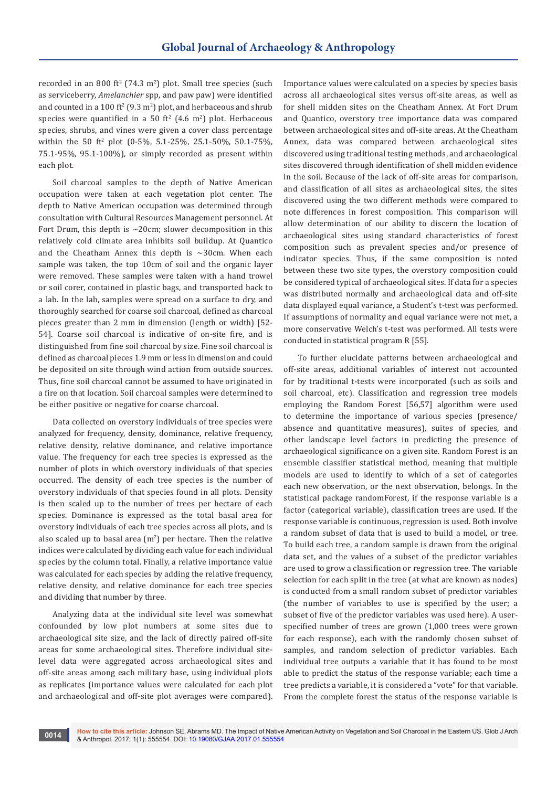recorded in an 800 ft<sup>2</sup> (74.3 m<sup>2</sup>) plot. Small tree species (such as serviceberry, *Amelanchier* spp, and paw paw) were identified and counted in a  $100 \text{ ft}^2 (9.3 \text{ m}^2)$  plot, and herbaceous and shrub species were quantified in a 50 ft<sup>2</sup>  $(4.6 \text{ m}^2)$  plot. Herbaceous species, shrubs, and vines were given a cover class percentage within the 50 ft<sup>2</sup> plot (0-5%, 5.1-25%, 25.1-50%, 50.1-75%, 75.1-95%, 95.1-100%), or simply recorded as present within each plot.

Soil charcoal samples to the depth of Native American occupation were taken at each vegetation plot center. The depth to Native American occupation was determined through consultation with Cultural Resources Management personnel. At Fort Drum, this depth is ~20cm; slower decomposition in this relatively cold climate area inhibits soil buildup. At Quantico and the Cheatham Annex this depth is  $\sim$ 30cm. When each sample was taken, the top 10cm of soil and the organic layer were removed. These samples were taken with a hand trowel or soil corer, contained in plastic bags, and transported back to a lab. In the lab, samples were spread on a surface to dry, and thoroughly searched for coarse soil charcoal, defined as charcoal pieces greater than 2 mm in dimension (length or width) [52- 54]. Coarse soil charcoal is indicative of on-site fire, and is distinguished from fine soil charcoal by size. Fine soil charcoal is defined as charcoal pieces 1.9 mm or less in dimension and could be deposited on site through wind action from outside sources. Thus, fine soil charcoal cannot be assumed to have originated in a fire on that location. Soil charcoal samples were determined to be either positive or negative for coarse charcoal.

Data collected on overstory individuals of tree species were analyzed for frequency, density, dominance, relative frequency, relative density, relative dominance, and relative importance value. The frequency for each tree species is expressed as the number of plots in which overstory individuals of that species occurred. The density of each tree species is the number of overstory individuals of that species found in all plots. Density is then scaled up to the number of trees per hectare of each species. Dominance is expressed as the total basal area for overstory individuals of each tree species across all plots, and is also scaled up to basal area  $(m^2)$  per hectare. Then the relative indices were calculated by dividing each value for each individual species by the column total. Finally, a relative importance value was calculated for each species by adding the relative frequency, relative density, and relative dominance for each tree species and dividing that number by three.

Analyzing data at the individual site level was somewhat confounded by low plot numbers at some sites due to archaeological site size, and the lack of directly paired off-site areas for some archaeological sites. Therefore individual sitelevel data were aggregated across archaeological sites and off-site areas among each military base, using individual plots as replicates (importance values were calculated for each plot and archaeological and off-site plot averages were compared).

Importance values were calculated on a species by species basis across all archaeological sites versus off-site areas, as well as for shell midden sites on the Cheatham Annex. At Fort Drum and Quantico, overstory tree importance data was compared between archaeological sites and off-site areas. At the Cheatham Annex, data was compared between archaeological sites discovered using traditional testing methods, and archaeological sites discovered through identification of shell midden evidence in the soil. Because of the lack of off-site areas for comparison, and classification of all sites as archaeological sites, the sites discovered using the two different methods were compared to note differences in forest composition. This comparison will allow determination of our ability to discern the location of archaeological sites using standard characteristics of forest composition such as prevalent species and/or presence of indicator species. Thus, if the same composition is noted between these two site types, the overstory composition could be considered typical of archaeological sites. If data for a species was distributed normally and archaeological data and off-site data displayed equal variance, a Student's t-test was performed. If assumptions of normality and equal variance were not met, a more conservative Welch's t-test was performed. All tests were conducted in statistical program R [55].

To further elucidate patterns between archaeological and off-site areas, additional variables of interest not accounted for by traditional t-tests were incorporated (such as soils and soil charcoal, etc). Classification and regression tree models employing the Random Forest [56,57] algorithm were used to determine the importance of various species (presence/ absence and quantitative measures), suites of species, and other landscape level factors in predicting the presence of archaeological significance on a given site. Random Forest is an ensemble classifier statistical method, meaning that multiple models are used to identify to which of a set of categories each new observation, or the next observation, belongs. In the statistical package randomForest, if the response variable is a factor (categorical variable), classification trees are used. If the response variable is continuous, regression is used. Both involve a random subset of data that is used to build a model, or tree. To build each tree, a random sample is drawn from the original data set, and the values of a subset of the predictor variables are used to grow a classification or regression tree. The variable selection for each split in the tree (at what are known as nodes) is conducted from a small random subset of predictor variables (the number of variables to use is specified by the user; a subset of five of the predictor variables was used here). A userspecified number of trees are grown (1,000 trees were grown for each response), each with the randomly chosen subset of samples, and random selection of predictor variables. Each individual tree outputs a variable that it has found to be most able to predict the status of the response variable; each time a tree predicts a variable, it is considered a "vote" for that variable. From the complete forest the status of the response variable is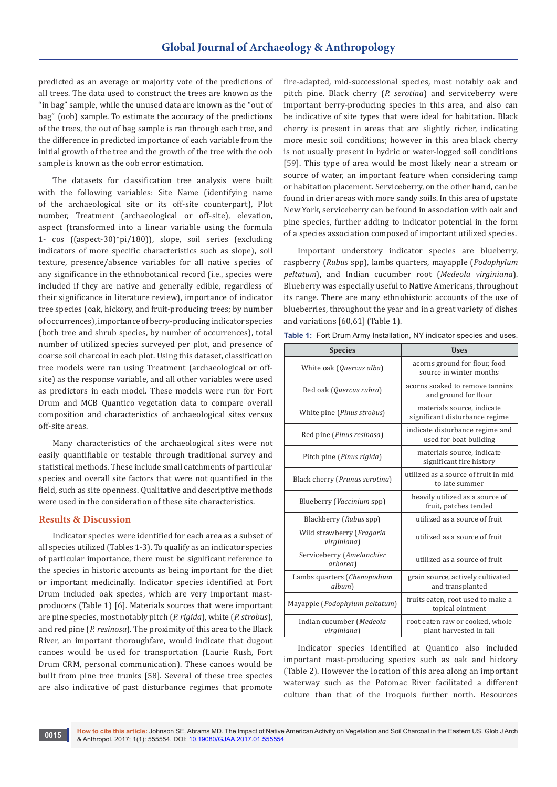predicted as an average or majority vote of the predictions of all trees. The data used to construct the trees are known as the "in bag" sample, while the unused data are known as the "out of bag" (oob) sample. To estimate the accuracy of the predictions of the trees, the out of bag sample is ran through each tree, and the difference in predicted importance of each variable from the initial growth of the tree and the growth of the tree with the oob sample is known as the oob error estimation.

The datasets for classification tree analysis were built with the following variables: Site Name (identifying name of the archaeological site or its off-site counterpart), Plot number, Treatment (archaeological or off-site), elevation, aspect (transformed into a linear variable using the formula 1- cos ((aspect-30)\*pi/180)), slope, soil series (excluding indicators of more specific characteristics such as slope), soil texture, presence/absence variables for all native species of any significance in the ethnobotanical record (i.e., species were included if they are native and generally edible, regardless of their significance in literature review), importance of indicator tree species (oak, hickory, and fruit-producing trees; by number of occurrences), importance of berry-producing indicator species (both tree and shrub species, by number of occurrences), total number of utilized species surveyed per plot, and presence of coarse soil charcoal in each plot. Using this dataset, classification tree models were ran using Treatment (archaeological or offsite) as the response variable, and all other variables were used as predictors in each model. These models were run for Fort Drum and MCB Quantico vegetation data to compare overall composition and characteristics of archaeological sites versus off-site areas.

Many characteristics of the archaeological sites were not easily quantifiable or testable through traditional survey and statistical methods. These include small catchments of particular species and overall site factors that were not quantified in the field, such as site openness. Qualitative and descriptive methods were used in the consideration of these site characteristics.

## **Results & Discussion**

Indicator species were identified for each area as a subset of all species utilized (Tables 1-3). To qualify as an indicator species of particular importance, there must be significant reference to the species in historic accounts as being important for the diet or important medicinally. Indicator species identified at Fort Drum included oak species, which are very important mastproducers (Table 1) [6]. Materials sources that were important are pine species, most notably pitch (*P. rigida*), white (*P. strobus*), and red pine (*P. resinosa*). The proximity of this area to the Black River, an important thoroughfare, would indicate that dugout canoes would be used for transportation (Laurie Rush, Fort Drum CRM, personal communication). These canoes would be built from pine tree trunks [58]. Several of these tree species are also indicative of past disturbance regimes that promote

fire-adapted, mid-successional species, most notably oak and pitch pine. Black cherry (*P. serotina*) and serviceberry were important berry-producing species in this area, and also can be indicative of site types that were ideal for habitation. Black cherry is present in areas that are slightly richer, indicating more mesic soil conditions; however in this area black cherry is not usually present in hydric or water-logged soil conditions [59]. This type of area would be most likely near a stream or source of water, an important feature when considering camp or habitation placement. Serviceberry, on the other hand, can be found in drier areas with more sandy soils. In this area of upstate New York, serviceberry can be found in association with oak and pine species, further adding to indicator potential in the form of a species association composed of important utilized species.

Important understory indicator species are blueberry, raspberry (*Rubus* spp), lambs quarters, mayapple (*Podophylum peltatum*), and Indian cucumber root (*Medeola virginiana*). Blueberry was especially useful to Native Americans, throughout its range. There are many ethnohistoric accounts of the use of blueberries, throughout the year and in a great variety of dishes and variations [60,61] (Table 1).

**Table 1:** Fort Drum Army Installation, NY indicator species and uses.

| <b>Species</b>                           | <b>Uses</b>                                                  |  |  |  |  |  |
|------------------------------------------|--------------------------------------------------------------|--|--|--|--|--|
| White oak (Quercus alba)                 | acorns ground for flour, food<br>source in winter months     |  |  |  |  |  |
| Red oak (Quercus rubra)                  | acorns soaked to remove tannins<br>and ground for flour      |  |  |  |  |  |
| White pine (Pinus strobus)               | materials source, indicate<br>significant disturbance regime |  |  |  |  |  |
| Red pine (Pinus resinosa)                | indicate disturbance regime and<br>used for boat building    |  |  |  |  |  |
| Pitch pine (Pinus rigida)                | materials source, indicate<br>significant fire history       |  |  |  |  |  |
| Black cherry (Prunus serotina)           | utilized as a source of fruit in mid<br>to late summer       |  |  |  |  |  |
| Blueberry ( <i>Vaccinium</i> spp)        | heavily utilized as a source of<br>fruit, patches tended     |  |  |  |  |  |
| Blackberry (Rubus spp)                   | utilized as a source of fruit                                |  |  |  |  |  |
| Wild strawberry (Fragaria<br>virginiana) | utilized as a source of fruit                                |  |  |  |  |  |
| Serviceberry (Amelanchier<br>arborea)    | utilized as a source of fruit                                |  |  |  |  |  |
| Lambs quarters (Chenopodium<br>album)    | grain source, actively cultivated<br>and transplanted        |  |  |  |  |  |
| Mayapple (Podophylum peltatum)           | fruits eaten, root used to make a<br>topical ointment        |  |  |  |  |  |
| Indian cucumber (Medeola<br>virginiana)  | root eaten raw or cooked, whole<br>plant harvested in fall   |  |  |  |  |  |

Indicator species identified at Quantico also included important mast-producing species such as oak and hickory (Table 2). However the location of this area along an important waterway such as the Potomac River facilitated a different culture than that of the Iroquois further north. Resources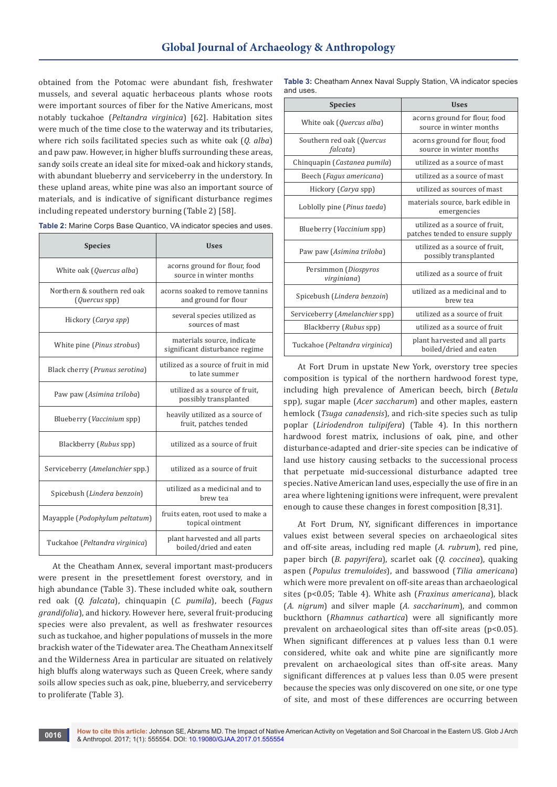obtained from the Potomac were abundant fish, freshwater mussels, and several aquatic herbaceous plants whose roots were important sources of fiber for the Native Americans, most notably tuckahoe (*Peltandra virginica*) [62]. Habitation sites were much of the time close to the waterway and its tributaries, where rich soils facilitated species such as white oak (*Q. alba*) and paw paw. However, in higher bluffs surrounding these areas, sandy soils create an ideal site for mixed-oak and hickory stands, with abundant blueberry and serviceberry in the understory. In these upland areas, white pine was also an important source of materials, and is indicative of significant disturbance regimes including repeated understory burning (Table 2) [58].

| <b>Species</b>                               | <b>Uses</b>                                                  |  |  |  |  |  |
|----------------------------------------------|--------------------------------------------------------------|--|--|--|--|--|
| White oak (Quercus alba)                     | acorns ground for flour, food<br>source in winter months     |  |  |  |  |  |
| Northern & southern red oak<br>(Quercus spp) | acorns soaked to remove tannins<br>and ground for flour      |  |  |  |  |  |
| Hickory (Carya spp)                          | several species utilized as<br>sources of mast               |  |  |  |  |  |
| White pine (Pinus strobus)                   | materials source, indicate<br>significant disturbance regime |  |  |  |  |  |
| Black cherry (Prunus serotina)               | utilized as a source of fruit in mid<br>to late summer       |  |  |  |  |  |
| Paw paw (Asimina triloba)                    | utilized as a source of fruit.<br>possibly transplanted      |  |  |  |  |  |
| Blueberry (Vaccinium spp)                    | heavily utilized as a source of<br>fruit, patches tended     |  |  |  |  |  |
| Blackberry (Rubus spp)                       | utilized as a source of fruit                                |  |  |  |  |  |
| Serviceberry (Amelanchier spp.)              | utilized as a source of fruit                                |  |  |  |  |  |
| Spicebush (Lindera benzoin)                  | utilized as a medicinal and to<br>brew tea                   |  |  |  |  |  |
| Mayapple (Podophylum peltatum)               | fruits eaten, root used to make a<br>topical ointment        |  |  |  |  |  |
| Tuckahoe (Peltandra virginica)               | plant harvested and all parts<br>boiled/dried and eaten      |  |  |  |  |  |

**Table 2:** Marine Corps Base Quantico, VA indicator species and uses.

At the Cheatham Annex, several important mast-producers were present in the presettlement forest overstory, and in high abundance (Table 3). These included white oak, southern red oak (*Q. falcata*), chinquapin (*C. pumila*), beech (*Fagus grandifolia*), and hickory. However here, several fruit-producing species were also prevalent, as well as freshwater resources such as tuckahoe, and higher populations of mussels in the more brackish water of the Tidewater area. The Cheatham Annex itself and the Wilderness Area in particular are situated on relatively high bluffs along waterways such as Queen Creek, where sandy soils allow species such as oak, pine, blueberry, and serviceberry to proliferate (Table 3).

| <b>Table 3:</b> Cheatham Annex Naval Supply Station, VA indicator species |  |  |
|---------------------------------------------------------------------------|--|--|
| and uses.                                                                 |  |  |

| <b>Species</b>                                | <b>Uses</b>                                                       |  |  |  |  |
|-----------------------------------------------|-------------------------------------------------------------------|--|--|--|--|
| White oak (Quercus alba)                      | acorns ground for flour, food<br>source in winter months          |  |  |  |  |
| Southern red oak (Quercus<br><i>falcata</i> ) | acorns ground for flour, food<br>source in winter months          |  |  |  |  |
| Chinquapin (Castanea pumila)                  | utilized as a source of mast                                      |  |  |  |  |
| Beech (Fagus americana)                       | utilized as a source of mast                                      |  |  |  |  |
| Hickory (Carya spp)                           | utilized as sources of mast                                       |  |  |  |  |
| Loblolly pine (Pinus taeda)                   | materials source, bark edible in<br>emergencies                   |  |  |  |  |
| Blueberry ( <i>Vaccinium</i> spp)             | utilized as a source of fruit,<br>patches tended to ensure supply |  |  |  |  |
| Paw paw (Asimina triloba)                     | utilized as a source of fruit,<br>possibly transplanted           |  |  |  |  |
| Persimmon (Diospyros<br>virginiana)           | utilized as a source of fruit                                     |  |  |  |  |
| Spicebush (Lindera benzoin)                   | utilized as a medicinal and to<br>brew tea                        |  |  |  |  |
| Serviceberry (Amelanchier spp)                | utilized as a source of fruit                                     |  |  |  |  |
| Blackberry (Rubus spp)                        | utilized as a source of fruit                                     |  |  |  |  |
| Tuckahoe (Peltandra virginica)                | plant harvested and all parts<br>boiled/dried and eaten           |  |  |  |  |

At Fort Drum in upstate New York, overstory tree species composition is typical of the northern hardwood forest type, including high prevalence of American beech, birch (*Betula*  spp), sugar maple (*Acer saccharum*) and other maples, eastern hemlock (*Tsuga canadensis*), and rich-site species such as tulip poplar (*Liriodendron tulipifera*) (Table 4). In this northern hardwood forest matrix, inclusions of oak, pine, and other disturbance-adapted and drier-site species can be indicative of land use history causing setbacks to the successional process that perpetuate mid-successional disturbance adapted tree species. Native American land uses, especially the use of fire in an area where lightening ignitions were infrequent, were prevalent enough to cause these changes in forest composition [8,31].

At Fort Drum, NY, significant differences in importance values exist between several species on archaeological sites and off-site areas, including red maple (*A. rubrum*), red pine, paper birch (*B. papyrifera*), scarlet oak (*Q. coccinea*), quaking aspen (*Populus tremuloides*), and basswood (*Tilia americana*) which were more prevalent on off-site areas than archaeological sites (p<0.05; Table 4). White ash (*Fraxinus americana*), black (*A. nigrum*) and silver maple (*A. saccharinum*), and common buckthorn (*Rhamnus cathartica*) were all significantly more prevalent on archaeological sites than off-site areas (p<0.05). When significant differences at p values less than 0.1 were considered, white oak and white pine are significantly more prevalent on archaeological sites than off-site areas. Many significant differences at p values less than 0.05 were present because the species was only discovered on one site, or one type of site, and most of these differences are occurring between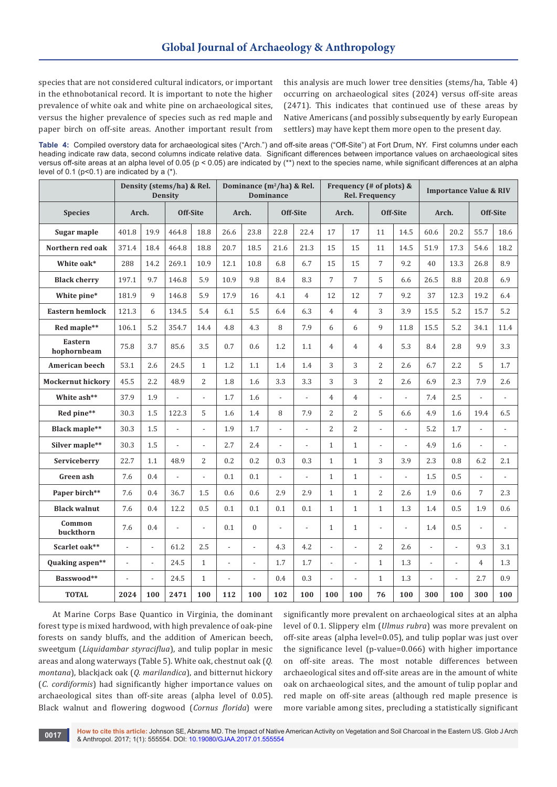species that are not considered cultural indicators, or important in the ethnobotanical record. It is important to note the higher prevalence of white oak and white pine on archaeological sites, versus the higher prevalence of species such as red maple and paper birch on off-site areas. Another important result from this analysis are much lower tree densities (stems/ha, Table 4) occurring on archaeological sites (2024) versus off-site areas (2471). This indicates that continued use of these areas by Native Americans (and possibly subsequently by early European settlers) may have kept them more open to the present day.

**Table 4:** Compiled overstory data for archaeological sites ("Arch.") and off-site areas ("Off-Site") at Fort Drum, NY. First columns under each heading indicate raw data, second columns indicate relative data. Significant differences between importance values on archaeological sites versus off-site areas at an alpha level of 0.05 (p < 0.05) are indicated by (\*\*) next to the species name, while significant differences at an alpha level of 0.1 ( $p$ <0.1) are indicated by a  $(*)$ .

|                          | Density (stems/ha) & Rel.<br><b>Density</b> |                          |                          | Dominance $(m^2/ha)$ & Rel.<br><b>Dominance</b> |                          |                | Frequency (# of plots) &<br><b>Rel. Frequency</b> |                          |                |                | <b>Importance Value &amp; RIV</b> |                          |                |                |                |                          |
|--------------------------|---------------------------------------------|--------------------------|--------------------------|-------------------------------------------------|--------------------------|----------------|---------------------------------------------------|--------------------------|----------------|----------------|-----------------------------------|--------------------------|----------------|----------------|----------------|--------------------------|
| <b>Species</b>           | Arch.                                       |                          |                          | Off-Site                                        |                          | Arch.          |                                                   | Off-Site                 |                | Arch.          |                                   | Off-Site                 |                | Arch.          |                | Off-Site                 |
| Sugar maple              | 401.8                                       | 19.9                     | 464.8                    | 18.8                                            | 26.6                     | 23.8           | 22.8                                              | 22.4                     | 17             | 17             | 11                                | 14.5                     | 60.6           | 20.2           | 55.7           | 18.6                     |
| Northern red oak         | 371.4                                       | 18.4                     | 464.8                    | 18.8                                            | 20.7                     | 18.5           | 21.6                                              | 21.3                     | 15             | 15             | 11                                | 14.5                     | 51.9           | 17.3           | 54.6           | 18.2                     |
| White oak*               | 288                                         | 14.2                     | 269.1                    | 10.9                                            | 12.1                     | 10.8           | 6.8                                               | 6.7                      | 15             | 15             | $\overline{7}$                    | 9.2                      | 40             | 13.3           | 26.8           | 8.9                      |
| <b>Black cherry</b>      | 197.1                                       | 9.7                      | 146.8                    | 5.9                                             | 10.9                     | 9.8            | 8.4                                               | 8.3                      | $\overline{7}$ | $\overline{7}$ | 5                                 | 6.6                      | 26.5           | 8.8            | 20.8           | 6.9                      |
| White pine*              | 181.9                                       | 9                        | 146.8                    | 5.9                                             | 17.9                     | 16             | 4.1                                               | $\overline{4}$           | 12             | 12             | $\overline{7}$                    | 9.2                      | 37             | 12.3           | 19.2           | 6.4                      |
| <b>Eastern hemlock</b>   | 121.3                                       | 6                        | 134.5                    | 5.4                                             | 6.1                      | 5.5            | 6.4                                               | 6.3                      | $\overline{4}$ | $\overline{4}$ | 3                                 | 3.9                      | 15.5           | 5.2            | 15.7           | 5.2                      |
| Red maple**              | 106.1                                       | 5.2                      | 354.7                    | 14.4                                            | 4.8                      | 4.3            | 8                                                 | 7.9                      | 6              | 6              | 9                                 | 11.8                     | 15.5           | 5.2            | 34.1           | 11.4                     |
| Eastern<br>hophornbeam   | 75.8                                        | 3.7                      | 85.6                     | 3.5                                             | 0.7                      | 0.6            | 1.2                                               | 1.1                      | $\overline{4}$ | $\overline{4}$ | $\overline{4}$                    | 5.3                      | 8.4            | 2.8            | 9.9            | 3.3                      |
| American beech           | 53.1                                        | 2.6                      | 24.5                     | $\mathbf{1}$                                    | 1.2                      | 1.1            | 1.4                                               | 1.4                      | 3              | 3              | $\overline{2}$                    | 2.6                      | 6.7            | 2.2            | 5              | 1.7                      |
| <b>Mockernut hickory</b> | 45.5                                        | 2.2                      | 48.9                     | $\overline{2}$                                  | 1.8                      | 1.6            | 3.3                                               | 3.3                      | 3              | 3              | $\overline{2}$                    | 2.6                      | 6.9            | 2.3            | 7.9            | 2.6                      |
| White ash**              | 37.9                                        | 1.9                      | $\overline{a}$           | $\overline{\phantom{a}}$                        | 1.7                      | 1.6            | $\overline{\phantom{a}}$                          | $\overline{\phantom{a}}$ | $\overline{4}$ | $\overline{4}$ | $\overline{a}$                    | $\overline{\phantom{a}}$ | 7.4            | 2.5            | $\overline{a}$ | $\overline{a}$           |
| Red pine**               | 30.3                                        | 1.5                      | 122.3                    | 5                                               | 1.6                      | 1.4            | 8                                                 | 7.9                      | 2              | 2              | 5                                 | 6.6                      | 4.9            | 1.6            | 19.4           | 6.5                      |
| <b>Black maple**</b>     | 30.3                                        | 1.5                      | $\overline{\phantom{a}}$ | $\overline{a}$                                  | 1.9                      | 1.7            | $\overline{\phantom{a}}$                          | $\overline{a}$           | $\overline{2}$ | $\overline{2}$ |                                   | $\overline{a}$           | 5.2            | 1.7            | $\overline{a}$ |                          |
| Silver maple**           | 30.3                                        | 1.5                      | $\overline{\phantom{a}}$ | $\overline{a}$                                  | 2.7                      | 2.4            | $\overline{a}$                                    | $\overline{a}$           | $\mathbf{1}$   | $\mathbf{1}$   | $\overline{a}$                    | $\overline{a}$           | 4.9            | 1.6            | $\overline{a}$ | $\overline{a}$           |
| Serviceberry             | 22.7                                        | 1.1                      | 48.9                     | $\overline{2}$                                  | 0.2                      | 0.2            | 0.3                                               | 0.3                      | $\mathbf{1}$   | $\mathbf{1}$   | 3                                 | 3.9                      | 2.3            | 0.8            | 6.2            | 2.1                      |
| Green ash                | 7.6                                         | 0.4                      | $\overline{a}$           | $\overline{a}$                                  | 0.1                      | 0.1            | $\overline{\phantom{a}}$                          | $\overline{a}$           | $\mathbf{1}$   | $\mathbf{1}$   | $\overline{a}$                    | $\overline{\phantom{a}}$ | 1.5            | 0.5            |                |                          |
| Paper birch**            | 7.6                                         | 0.4                      | 36.7                     | 1.5                                             | 0.6                      | 0.6            | 2.9                                               | 2.9                      | $\mathbf{1}$   | $\mathbf{1}$   | $\overline{2}$                    | 2.6                      | 1.9            | 0.6            | $\overline{7}$ | 2.3                      |
| <b>Black walnut</b>      | 7.6                                         | 0.4                      | 12.2                     | 0.5                                             | 0.1                      | 0.1            | 0.1                                               | 0.1                      | $\mathbf{1}$   | $\mathbf{1}$   | $\mathbf{1}$                      | 1.3                      | 1.4            | 0.5            | 1.9            | 0.6                      |
| Common<br>buckthorn      | 7.6                                         | 0.4                      | $\overline{a}$           | $\overline{\phantom{a}}$                        | 0.1                      | $\mathbf{0}$   | $\overline{\phantom{a}}$                          | $\overline{\phantom{a}}$ | $\mathbf{1}$   | $\mathbf{1}$   | $\overline{a}$                    | $\overline{\phantom{a}}$ | 1.4            | 0.5            | $\overline{a}$ | $\overline{\phantom{a}}$ |
| Scarlet oak**            | $\overline{a}$                              | $\overline{\phantom{a}}$ | 61.2                     | 2.5                                             | $\overline{\phantom{a}}$ | $\overline{a}$ | 4.3                                               | 4.2                      | $\overline{a}$ | $\overline{a}$ | $\overline{2}$                    | 2.6                      | $\overline{a}$ | $\overline{a}$ | 9.3            | 3.1                      |
| Quaking aspen**          | $\overline{a}$                              | $\overline{a}$           | 24.5                     | $\mathbf{1}$                                    |                          |                | 1.7                                               | 1.7                      | $\overline{a}$ | $\overline{a}$ | $\mathbf{1}$                      | 1.3                      | $\overline{a}$ | $\overline{a}$ | $\overline{4}$ | 1.3                      |
| Basswood**               | $\overline{a}$                              | $\overline{a}$           | 24.5                     | $\mathbf{1}$                                    | $\overline{a}$           | $\overline{a}$ | 0.4                                               | 0.3                      | $\overline{a}$ | $\overline{a}$ | $\mathbf{1}$                      | 1.3                      | $\overline{a}$ | $\overline{a}$ | 2.7            | 0.9                      |
| <b>TOTAL</b>             | 2024                                        | 100                      | 2471                     | 100                                             | 112                      | 100            | 102                                               | 100                      | 100            | 100            | 76                                | 100                      | 300            | 100            | 300            | 100                      |

At Marine Corps Base Quantico in Virginia, the dominant forest type is mixed hardwood, with high prevalence of oak-pine forests on sandy bluffs, and the addition of American beech, sweetgum (*Liquidambar styraciflua*), and tulip poplar in mesic areas and along waterways (Table 5). White oak, chestnut oak (*Q. montana*), blackjack oak (*Q. marilandica*), and bitternut hickory (*C. cordiformis*) had significantly higher importance values on archaeological sites than off-site areas (alpha level of 0.05). Black walnut and flowering dogwood (*Cornus florida*) were

significantly more prevalent on archaeological sites at an alpha level of 0.1. Slippery elm (*Ulmus rubra*) was more prevalent on off-site areas (alpha level=0.05), and tulip poplar was just over the significance level (p-value=0.066) with higher importance on off-site areas. The most notable differences between archaeological sites and off-site areas are in the amount of white oak on archaeological sites, and the amount of tulip poplar and red maple on off-site areas (although red maple presence is more variable among sites, precluding a statistically significant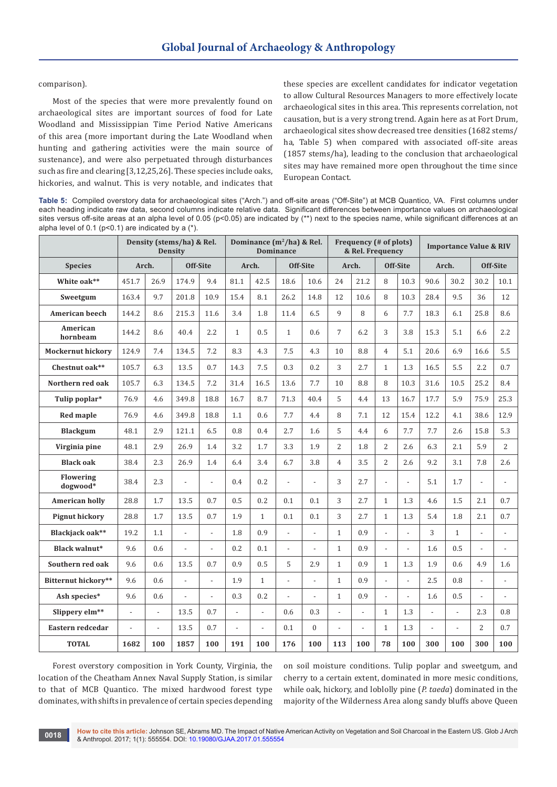comparison).

Most of the species that were more prevalently found on archaeological sites are important sources of food for Late Woodland and Mississippian Time Period Native Americans of this area (more important during the Late Woodland when hunting and gathering activities were the main source of sustenance), and were also perpetuated through disturbances such as fire and clearing [3,12,25,26]. These species include oaks, hickories, and walnut. This is very notable, and indicates that these species are excellent candidates for indicator vegetation to allow Cultural Resources Managers to more effectively locate archaeological sites in this area. This represents correlation, not causation, but is a very strong trend. Again here as at Fort Drum, archaeological sites show decreased tree densities (1682 stems/ ha, Table 5) when compared with associated off-site areas (1857 stems/ha), leading to the conclusion that archaeological sites may have remained more open throughout the time since European Contact.

**Table 5:** Compiled overstory data for archaeological sites ("Arch.") and off-site areas ("Off-Site") at MCB Quantico, VA. First columns under each heading indicate raw data, second columns indicate relative data. Significant differences between importance values on archaeological sites versus off-site areas at an alpha level of 0.05 (p<0.05) are indicated by (\*\*) next to the species name, while significant differences at an alpha level of 0.1 ( $p$ <0.1) are indicated by a  $(*)$ .

|                          | Density (stems/ha) & Rel.<br><b>Density</b> |                          | Dominance $(m^2/ha)$ & Rel.<br><b>Dominance</b> |                          |                |                          | Frequency (# of plots)<br>& Rel. Frequency |                |                |                          | <b>Importance Value &amp; RIV</b> |                |                          |                |                          |                |
|--------------------------|---------------------------------------------|--------------------------|-------------------------------------------------|--------------------------|----------------|--------------------------|--------------------------------------------|----------------|----------------|--------------------------|-----------------------------------|----------------|--------------------------|----------------|--------------------------|----------------|
| <b>Species</b>           | Arch.                                       |                          |                                                 | Off-Site                 |                | Arch.                    | Off-Site                                   |                | Arch.          |                          | Off-Site                          |                | Arch.                    |                | Off-Site                 |                |
| White oak**              | 451.7                                       | 26.9                     | 174.9                                           | 9.4                      | 81.1           | 42.5                     | 18.6                                       | 10.6           | 24             | 21.2                     | 8                                 | 10.3           | 90.6                     | 30.2           | 30.2                     | 10.1           |
| Sweetgum                 | 163.4                                       | 9.7                      | 201.8                                           | 10.9                     | 15.4           | 8.1                      | 26.2                                       | 14.8           | 12             | 10.6                     | 8                                 | 10.3           | 28.4                     | 9.5            | 36                       | 12             |
| <b>American beech</b>    | 144.2                                       | 8.6                      | 215.3                                           | 11.6                     | 3.4            | 1.8                      | 11.4                                       | 6.5            | 9              | 8                        | 6                                 | 7.7            | 18.3                     | 6.1            | 25.8                     | 8.6            |
| American<br>hornbeam     | 144.2                                       | 8.6                      | 40.4                                            | 2.2                      | $\mathbf{1}$   | 0.5                      | $\mathbf{1}$                               | 0.6            | $\overline{7}$ | 6.2                      | 3                                 | 3.8            | 15.3                     | 5.1            | 6.6                      | 2.2            |
| <b>Mockernut hickory</b> | 124.9                                       | 7.4                      | 134.5                                           | 7.2                      | 8.3            | 4.3                      | 7.5                                        | 4.3            | 10             | 8.8                      | $\overline{4}$                    | 5.1            | 20.6                     | 6.9            | 16.6                     | 5.5            |
| Chestnut oak**           | 105.7                                       | 6.3                      | 13.5                                            | 0.7                      | 14.3           | 7.5                      | 0.3                                        | 0.2            | 3              | 2.7                      | $\mathbf{1}$                      | 1.3            | 16.5                     | 5.5            | 2.2                      | 0.7            |
| Northern red oak         | 105.7                                       | 6.3                      | 134.5                                           | 7.2                      | 31.4           | 16.5                     | 13.6                                       | 7.7            | 10             | 8.8                      | 8                                 | 10.3           | 31.6                     | 10.5           | 25.2                     | 8.4            |
| Tulip poplar*            | 76.9                                        | 4.6                      | 349.8                                           | 18.8                     | 16.7           | 8.7                      | 71.3                                       | 40.4           | 5              | 4.4                      | 13                                | 16.7           | 17.7                     | 5.9            | 75.9                     | 25.3           |
| <b>Red maple</b>         | 76.9                                        | 4.6                      | 349.8                                           | 18.8                     | 1.1            | 0.6                      | 7.7                                        | 4.4            | 8              | 7.1                      | 12                                | 15.4           | 12.2                     | 4.1            | 38.6                     | 12.9           |
| <b>Blackgum</b>          | 48.1                                        | 2.9                      | 121.1                                           | 6.5                      | 0.8            | 0.4                      | 2.7                                        | 1.6            | 5              | 4.4                      | 6                                 | 7.7            | 7.7                      | 2.6            | 15.8                     | 5.3            |
| Virginia pine            | 48.1                                        | 2.9                      | 26.9                                            | 1.4                      | 3.2            | 1.7                      | 3.3                                        | 1.9            | $\overline{2}$ | 1.8                      | 2                                 | 2.6            | 6.3                      | 2.1            | 5.9                      | 2              |
| <b>Black oak</b>         | 38.4                                        | 2.3                      | 26.9                                            | 1.4                      | 6.4            | 3.4                      | 6.7                                        | 3.8            | $\overline{4}$ | 3.5                      | 2                                 | 2.6            | 9.2                      | 3.1            | 7.8                      | 2.6            |
| Flowering<br>dogwood*    | 38.4                                        | 2.3                      |                                                 | $\overline{a}$           | 0.4            | 0.2                      | $\overline{a}$                             | $\overline{a}$ | 3              | 2.7                      | $\blacksquare$                    | $\overline{a}$ | 5.1                      | 1.7            | $\overline{a}$           |                |
| <b>American holly</b>    | 28.8                                        | 1.7                      | 13.5                                            | 0.7                      | 0.5            | 0.2                      | 0.1                                        | 0.1            | 3              | 2.7                      | $\mathbf{1}$                      | 1.3            | 4.6                      | 1.5            | 2.1                      | 0.7            |
| <b>Pignut hickory</b>    | 28.8                                        | 1.7                      | 13.5                                            | 0.7                      | 1.9            | $\mathbf{1}$             | 0.1                                        | 0.1            | 3              | 2.7                      | $\mathbf{1}$                      | 1.3            | 5.4                      | 1.8            | 2.1                      | 0.7            |
| Blackjack oak**          | 19.2                                        | 1.1                      | $\overline{a}$                                  | $\overline{\phantom{m}}$ | 1.8            | 0.9                      | $\overline{a}$                             | $\overline{a}$ | $\mathbf{1}$   | 0.9                      | $\overline{\phantom{a}}$          | $\overline{a}$ | 3                        | $\mathbf{1}$   | $\overline{a}$           |                |
| Black walnut*            | 9.6                                         | 0.6                      | $\overline{a}$                                  | $\overline{a}$           | 0.2            | 0.1                      | $\overline{a}$                             |                | $\mathbf{1}$   | 0.9                      | $\mathbb{Z}^2$                    | $\overline{a}$ | 1.6                      | 0.5            | $\overline{a}$           | $\overline{a}$ |
| Southern red oak         | 9.6                                         | 0.6                      | 13.5                                            | 0.7                      | 0.9            | 0.5                      | 5                                          | 2.9            | $\mathbf{1}$   | 0.9                      | $\mathbf{1}$                      | 1.3            | 1.9                      | 0.6            | 4.9                      | 1.6            |
| Bitternut hickory**      | 9.6                                         | 0.6                      | $\overline{a}$                                  | $\overline{\phantom{a}}$ | 1.9            | $\mathbf{1}$             | $\overline{a}$                             | $\overline{a}$ | $\mathbf{1}$   | 0.9                      | $\overline{\phantom{a}}$          | $\overline{a}$ | 2.5                      | 0.8            | $\overline{\phantom{a}}$ |                |
| Ash species*             | 9.6                                         | 0.6                      |                                                 | $\overline{a}$           | 0.3            | 0.2                      |                                            |                | $\mathbf{1}$   | 0.9                      | $\overline{a}$                    | $\overline{a}$ | 1.6                      | 0.5            |                          |                |
| Slippery elm**           | $\frac{1}{2}$                               | $\overline{\phantom{a}}$ | 13.5                                            | 0.7                      | $\overline{a}$ | $\overline{\phantom{a}}$ | 0.6                                        | 0.3            | $\overline{a}$ | $\overline{\phantom{0}}$ | $\mathbf{1}$                      | 1.3            | $\overline{a}$           | $\overline{a}$ | 2.3                      | 0.8            |
| Eastern redcedar         | $\overline{\phantom{0}}$                    | $\blacksquare$           | 13.5                                            | 0.7                      | $\overline{a}$ | ÷.                       | 0.1                                        | $\overline{0}$ | L.             | $\overline{\phantom{0}}$ | $\mathbf{1}$                      | 1.3            | $\overline{\phantom{a}}$ | $\overline{a}$ | $\overline{2}$           | 0.7            |
| <b>TOTAL</b>             | 1682                                        | 100                      | 1857                                            | 100                      | 191            | 100                      | 176                                        | 100            | 113            | 100                      | 78                                | 100            | 300                      | 100            | 300                      | 100            |

Forest overstory composition in York County, Virginia, the location of the Cheatham Annex Naval Supply Station, is similar to that of MCB Quantico. The mixed hardwood forest type dominates, with shifts in prevalence of certain species depending on soil moisture conditions. Tulip poplar and sweetgum, and cherry to a certain extent, dominated in more mesic conditions, while oak, hickory, and loblolly pine (*P. taeda*) dominated in the majority of the Wilderness Area along sandy bluffs above Queen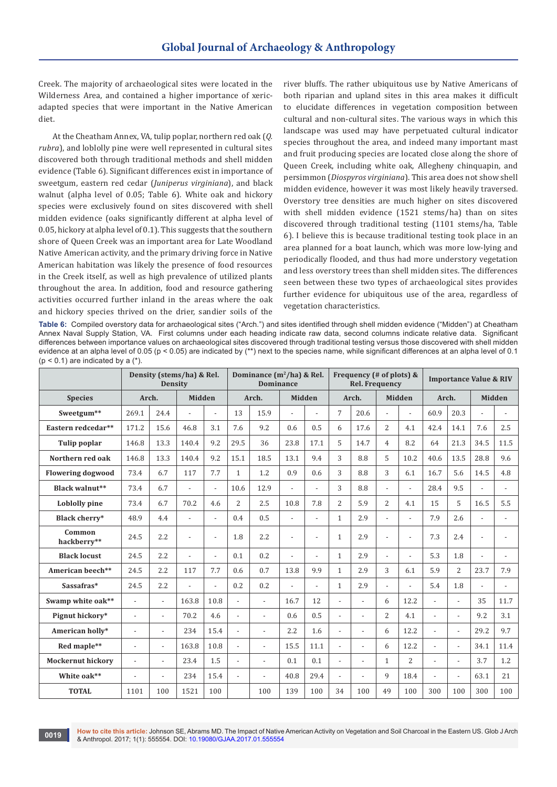Creek. The majority of archaeological sites were located in the Wilderness Area, and contained a higher importance of xericadapted species that were important in the Native American diet.

At the Cheatham Annex, VA, tulip poplar, northern red oak (*Q. rubra*), and loblolly pine were well represented in cultural sites discovered both through traditional methods and shell midden evidence (Table 6). Significant differences exist in importance of sweetgum, eastern red cedar (*Juniperus virginiana*), and black walnut (alpha level of 0.05; Table 6). White oak and hickory species were exclusively found on sites discovered with shell midden evidence (oaks significantly different at alpha level of 0.05, hickory at alpha level of 0.1). This suggests that the southern shore of Queen Creek was an important area for Late Woodland Native American activity, and the primary driving force in Native American habitation was likely the presence of food resources in the Creek itself, as well as high prevalence of utilized plants throughout the area. In addition, food and resource gathering activities occurred further inland in the areas where the oak and hickory species thrived on the drier, sandier soils of the

river bluffs. The rather ubiquitous use by Native Americans of both riparian and upland sites in this area makes it difficult to elucidate differences in vegetation composition between cultural and non-cultural sites. The various ways in which this landscape was used may have perpetuated cultural indicator species throughout the area, and indeed many important mast and fruit producing species are located close along the shore of Queen Creek, including white oak, Allegheny chinquapin, and persimmon (*Diospyros virginiana*). This area does not show shell midden evidence, however it was most likely heavily traversed. Overstory tree densities are much higher on sites discovered with shell midden evidence (1521 stems/ha) than on sites discovered through traditional testing (1101 stems/ha, Table 6). I believe this is because traditional testing took place in an area planned for a boat launch, which was more low-lying and periodically flooded, and thus had more understory vegetation and less overstory trees than shell midden sites. The differences seen between these two types of archaeological sites provides further evidence for ubiquitous use of the area, regardless of vegetation characteristics.

**Table 6:** Compiled overstory data for archaeological sites ("Arch.") and sites identified through shell midden evidence ("Midden") at Cheatham Annex Naval Supply Station, VA. First columns under each heading indicate raw data, second columns indicate relative data. Significant differences between importance values on archaeological sites discovered through traditional testing versus those discovered with shell midden evidence at an alpha level of 0.05 ( $p < 0.05$ ) are indicated by (\*\*) next to the species name, while significant differences at an alpha level of 0.1  $(p < 0.1)$  are indicated by a  $(*)$ .

|                          |                          |                          | Density (stems/ha) & Rel.<br><b>Density</b> |                |                          | Dominance $(m^2/ha)$ & Rel.<br><b>Dominance</b> |                |                | Frequency (# of plots) &<br><b>Rel. Frequency</b> |                |                          |                | <b>Importance Value &amp; RIV</b> |                          |                |                |
|--------------------------|--------------------------|--------------------------|---------------------------------------------|----------------|--------------------------|-------------------------------------------------|----------------|----------------|---------------------------------------------------|----------------|--------------------------|----------------|-----------------------------------|--------------------------|----------------|----------------|
| <b>Species</b>           | Arch.                    |                          | <b>Midden</b>                               |                |                          | Arch.                                           | <b>Midden</b>  |                |                                                   | Arch.          |                          | <b>Midden</b>  | Arch.                             |                          |                | <b>Midden</b>  |
| Sweetgum**               | 269.1                    | 24.4                     |                                             | $\overline{a}$ | 13                       | 15.9                                            | $\overline{a}$ |                | $\overline{7}$                                    | 20.6           | $\overline{\phantom{a}}$ | $\overline{a}$ | 60.9                              | 20.3                     | $\overline{a}$ | $\overline{a}$ |
| Eastern redcedar**       | 171.2                    | 15.6                     | 46.8                                        | 3.1            | 7.6                      | 9.2                                             | 0.6            | 0.5            | 6                                                 | 17.6           | $\overline{c}$           | 4.1            | 42.4                              | 14.1                     | 7.6            | 2.5            |
| Tulip poplar             | 146.8                    | 13.3                     | 140.4                                       | 9.2            | 29.5                     | 36                                              | 23.8           | 17.1           | 5                                                 | 14.7           | $\overline{4}$           | 8.2            | 64                                | 21.3                     | 34.5           | 11.5           |
| Northern red oak         | 146.8                    | 13.3                     | 140.4                                       | 9.2            | 15.1                     | 18.5                                            | 13.1           | 9.4            | 3                                                 | 8.8            | 5                        | 10.2           | 40.6                              | 13.5                     | 28.8           | 9.6            |
| <b>Flowering dogwood</b> | 73.4                     | 6.7                      | 117                                         | 7.7            | $\mathbf{1}$             | 1.2                                             | 0.9            | 0.6            | 3                                                 | 8.8            | 3                        | 6.1            | 16.7                              | 5.6                      | 14.5           | 4.8            |
| Black walnut**           | 73.4                     | 6.7                      |                                             | $\overline{a}$ | 10.6                     | 12.9                                            | $\overline{a}$ | $\overline{a}$ | 3                                                 | 8.8            | $\frac{1}{2}$            | $\overline{a}$ | 28.4                              | 9.5                      |                | $\overline{a}$ |
| Loblolly pine            | 73.4                     | 6.7                      | 70.2                                        | 4.6            | $\overline{c}$           | 2.5                                             | 10.8           | 7.8            | $\overline{2}$                                    | 5.9            | $\overline{2}$           | 4.1            | 15                                | 5                        | 16.5           | 5.5            |
| Black cherry*            | 48.9                     | 4.4                      |                                             | $\overline{a}$ | 0.4                      | 0.5                                             | $\overline{a}$ | $\overline{a}$ | $\mathbf{1}$                                      | 2.9            | $\overline{\phantom{a}}$ |                | 7.9                               | 2.6                      |                |                |
| Common<br>hackberry**    | 24.5                     | 2.2                      |                                             | $\overline{a}$ | 1.8                      | 2.2                                             | $\overline{a}$ | $\overline{a}$ | $\mathbf{1}$                                      | 2.9            | $\overline{a}$           |                | 7.3                               | 2.4                      |                | $\overline{a}$ |
| <b>Black locust</b>      | 24.5                     | 2.2                      | $\overline{a}$                              | $\overline{a}$ | 0.1                      | 0.2                                             | $\overline{a}$ | $\overline{a}$ | $\mathbf{1}$                                      | 2.9            | $\overline{\phantom{a}}$ | $\overline{a}$ | 5.3                               | 1.8                      | $\overline{a}$ | $\overline{a}$ |
| American beech**         | 24.5                     | 2.2                      | 117                                         | 7.7            | 0.6                      | 0.7                                             | 13.8           | 9.9            | $\mathbf{1}$                                      | 2.9            | 3                        | 6.1            | 5.9                               | $\overline{2}$           | 23.7           | 7.9            |
| Sassafras*               | 24.5                     | 2.2                      | $\overline{a}$                              | $\overline{a}$ | 0.2                      | 0.2                                             | $\overline{a}$ | $\overline{a}$ | $\mathbf{1}$                                      | 2.9            | $\frac{1}{2}$            | $\blacksquare$ | 5.4                               | 1.8                      | $\overline{a}$ | $\overline{a}$ |
| Swamp white oak**        | $\overline{a}$           | $\overline{a}$           | 163.8                                       | 10.8           | $\overline{a}$           | $\overline{a}$                                  | 16.7           | 12             |                                                   | $\overline{a}$ | 6                        | 12.2           |                                   | $\overline{a}$           | 35             | 11.7           |
| Pignut hickory*          | $\overline{\phantom{a}}$ | $\overline{a}$           | 70.2                                        | 4.6            | $\overline{a}$           | $\overline{a}$                                  | 0.6            | 0.5            | $\overline{a}$                                    | $\overline{a}$ | $\overline{2}$           | 4.1            |                                   | $\overline{a}$           | 9.2            | 3.1            |
| American holly*          | $\overline{a}$           | $\overline{a}$           | 234                                         | 15.4           | $\overline{\phantom{a}}$ | $\overline{a}$                                  | 2.2            | 1.6            |                                                   | $\overline{a}$ | 6                        | 12.2           | $\overline{a}$                    | $\overline{a}$           | 29.2           | 9.7            |
| Red maple**              | $\overline{a}$           | $\overline{a}$           | 163.8                                       | 10.8           | $\overline{a}$           | $\overline{a}$                                  | 15.5           | 11.1           | $\overline{a}$                                    | $\overline{a}$ | 6                        | 12.2           | $\overline{a}$                    | $\overline{a}$           | 34.1           | 11.4           |
| <b>Mockernut hickory</b> | $\overline{\phantom{a}}$ | $\overline{\phantom{a}}$ | 23.4                                        | 1.5            | $\overline{\phantom{a}}$ | $\overline{a}$                                  | 0.1            | 0.1            | $\overline{a}$                                    | $\overline{a}$ | $\mathbf{1}$             | $\overline{2}$ | $\overline{a}$                    | $\overline{\phantom{a}}$ | 3.7            | 1.2            |
| White oak**              |                          | $\overline{a}$           | 234                                         | 15.4           | $\overline{a}$           | $\overline{a}$                                  | 40.8           | 29.4           |                                                   | $\overline{a}$ | 9                        | 18.4           |                                   | $\overline{a}$           | 63.1           | 21             |
| <b>TOTAL</b>             | 1101                     | 100                      | 1521                                        | 100            |                          | 100                                             | 139            | 100            | 34                                                | 100            | 49                       | 100            | 300                               | 100                      | 300            | 100            |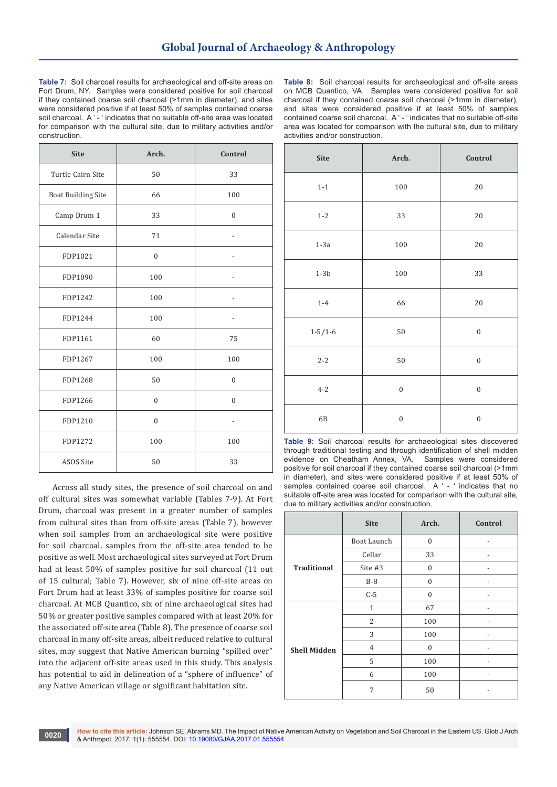**Table 7:** Soil charcoal results for archaeological and off-site areas on Fort Drum, NY. Samples were considered positive for soil charcoal if they contained coarse soil charcoal (>1mm in diameter), and sites were considered positive if at least 50% of samples contained coarse soil charcoal. A ' - ' indicates that no suitable off-site area was located for comparison with the cultural site, due to military activities and/or construction.

| <b>Site</b>               | Arch.          | Control      |
|---------------------------|----------------|--------------|
| Turtle Cairn Site         | 50             | 33           |
| <b>Boat Building Site</b> | 66             | 100          |
| Camp Drum 1               | 33             | $\mathbf{0}$ |
| Calendar Site             | 71             |              |
| FDP1021                   | $\mathbf{0}$   |              |
| FDP1090                   | 100            |              |
| FDP1242                   | 100            |              |
| FDP1244                   | 100            |              |
| FDP1161                   | 60             | 75           |
| FDP1267                   | 100            | 100          |
| FDP1268                   | 50             | $\mathbf{0}$ |
| FDP1266                   | $\overline{0}$ | $\mathbf{0}$ |
| FDP1210                   | $\mathbf{0}$   |              |
| FDP1272                   | 100            | 100          |
| ASOS Site                 | 50             | 33           |

Across all study sites, the presence of soil charcoal on and off cultural sites was somewhat variable (Tables 7-9). At Fort Drum, charcoal was present in a greater number of samples from cultural sites than from off-site areas (Table 7), however when soil samples from an archaeological site were positive for soil charcoal, samples from the off-site area tended to be positive as well. Most archaeological sites surveyed at Fort Drum had at least 50% of samples positive for soil charcoal (11 out of 15 cultural; Table 7). However, six of nine off-site areas on Fort Drum had at least 33% of samples positive for coarse soil charcoal. At MCB Quantico, six of nine archaeological sites had 50% or greater positive samples compared with at least 20% for the associated off-site area (Table 8). The presence of coarse soil charcoal in many off-site areas, albeit reduced relative to cultural sites, may suggest that Native American burning "spilled over" into the adjacent off-site areas used in this study. This analysis has potential to aid in delineation of a "sphere of influence" of any Native American village or significant habitation site.

**Table 8:** Soil charcoal results for archaeological and off-site areas on MCB Quantico, VA. Samples were considered positive for soil charcoal if they contained coarse soil charcoal (>1mm in diameter), and sites were considered positive if at least 50% of samples contained coarse soil charcoal. A ' - ' indicates that no suitable off-site area was located for comparison with the cultural site, due to military activities and/or construction.

| Site            | Arch.            | Control          |
|-----------------|------------------|------------------|
| $1-1$           | $100\,$          | $20\,$           |
| $1-2$           | 33               | $20\,$           |
| $1-3a$          | 100              | $20\,$           |
| $1-3\mathrm{b}$ | 100              | 33               |
| $1-4$           | 66               | $20\,$           |
| $1 - 5/1 - 6$   | 50               | $\boldsymbol{0}$ |
| $2 - 2$         | 50               | $\boldsymbol{0}$ |
| $4 - 2$         | $\boldsymbol{0}$ | $\boldsymbol{0}$ |
| 6B              | $\boldsymbol{0}$ | $\boldsymbol{0}$ |

**Table 9:** Soil charcoal results for archaeological sites discovered through traditional testing and through identification of shell midden evidence on Cheatham Annex, VA. Samples were considered positive for soil charcoal if they contained coarse soil charcoal (>1mm in diameter), and sites were considered positive if at least 50% of samples contained coarse soil charcoal. A ' - ' indicates that no suitable off-site area was located for comparison with the cultural site, due to military activities and/or construction.

|                     | <b>Site</b>    | Arch.        | Control |  |  |
|---------------------|----------------|--------------|---------|--|--|
|                     | Boat Launch    | $\mathbf{0}$ |         |  |  |
|                     | Cellar         | 33           |         |  |  |
| <b>Traditional</b>  | Site #3        | $\mathbf{0}$ |         |  |  |
|                     | $B-8$          | $\mathbf{0}$ |         |  |  |
|                     | $C-5$          | $\mathbf{0}$ |         |  |  |
|                     | $\mathbf{1}$   | 67           |         |  |  |
|                     | 2              | 100          |         |  |  |
|                     | 3              | 100          |         |  |  |
| <b>Shell Midden</b> | $\overline{4}$ | $\mathbf{0}$ |         |  |  |
|                     | 5              | 100          |         |  |  |
|                     | 6              | 100          |         |  |  |
|                     | 7              | 50           |         |  |  |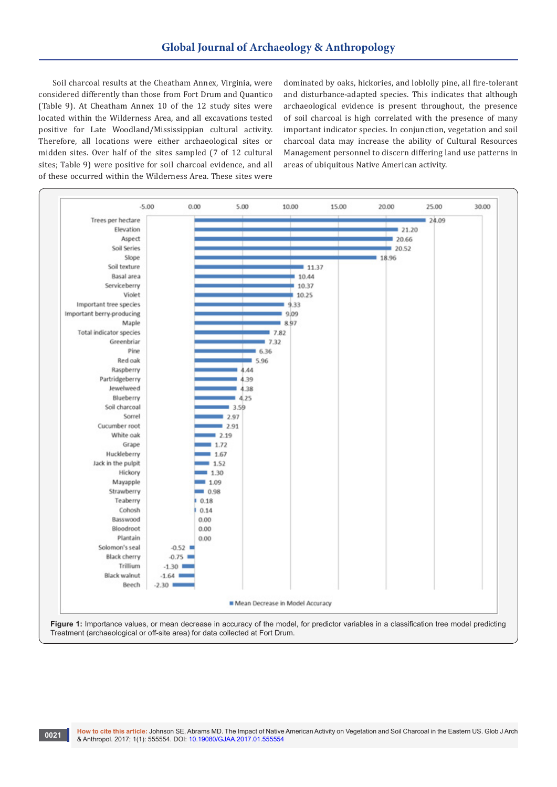Soil charcoal results at the Cheatham Annex, Virginia, were considered differently than those from Fort Drum and Quantico (Table 9). At Cheatham Annex 10 of the 12 study sites were located within the Wilderness Area, and all excavations tested positive for Late Woodland/Mississippian cultural activity. Therefore, all locations were either archaeological sites or midden sites. Over half of the sites sampled (7 of 12 cultural sites; Table 9) were positive for soil charcoal evidence, and all of these occurred within the Wilderness Area. These sites were

dominated by oaks, hickories, and loblolly pine, all fire-tolerant and disturbance-adapted species. This indicates that although archaeological evidence is present throughout, the presence of soil charcoal is high correlated with the presence of many important indicator species. In conjunction, vegetation and soil charcoal data may increase the ability of Cultural Resources Management personnel to discern differing land use patterns in areas of ubiquitous Native American activity.

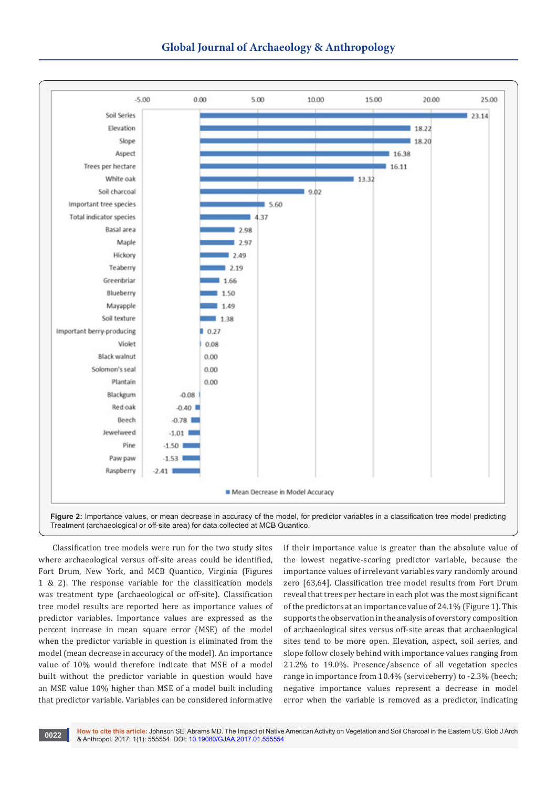

Classification tree models were run for the two study sites where archaeological versus off-site areas could be identified, Fort Drum, New York, and MCB Quantico, Virginia (Figures 1 & 2). The response variable for the classification models was treatment type (archaeological or off-site). Classification tree model results are reported here as importance values of predictor variables. Importance values are expressed as the percent increase in mean square error (MSE) of the model when the predictor variable in question is eliminated from the model (mean decrease in accuracy of the model). An importance value of 10% would therefore indicate that MSE of a model built without the predictor variable in question would have an MSE value 10% higher than MSE of a model built including that predictor variable. Variables can be considered informative

if their importance value is greater than the absolute value of the lowest negative-scoring predictor variable, because the importance values of irrelevant variables vary randomly around zero [63,64]. Classification tree model results from Fort Drum reveal that trees per hectare in each plot was the most significant of the predictors at an importance value of 24.1% (Figure 1). This supports the observation in the analysis of overstory composition of archaeological sites versus off-site areas that archaeological sites tend to be more open. Elevation, aspect, soil series, and slope follow closely behind with importance values ranging from 21.2% to 19.0%. Presence/absence of all vegetation species range in importance from 10.4% (serviceberry) to -2.3% (beech; negative importance values represent a decrease in model error when the variable is removed as a predictor, indicating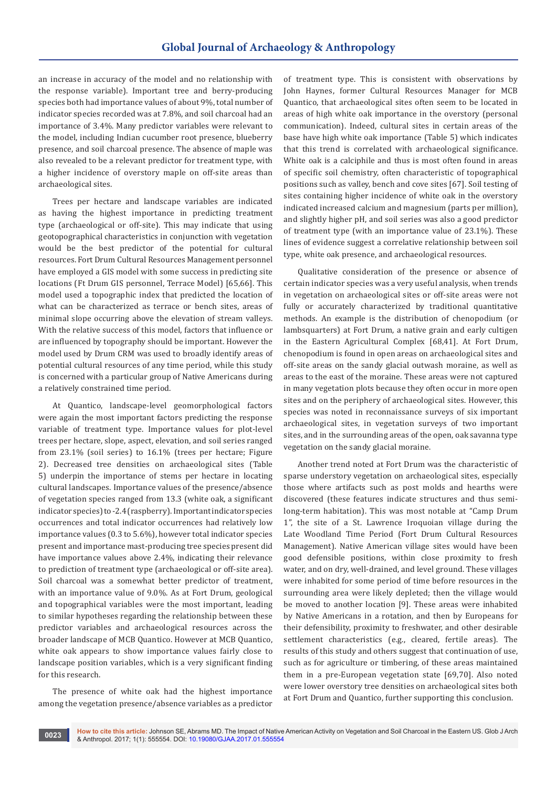an increase in accuracy of the model and no relationship with the response variable). Important tree and berry-producing species both had importance values of about 9%, total number of indicator species recorded was at 7.8%, and soil charcoal had an importance of 3.4%. Many predictor variables were relevant to the model, including Indian cucumber root presence, blueberry presence, and soil charcoal presence. The absence of maple was also revealed to be a relevant predictor for treatment type, with a higher incidence of overstory maple on off-site areas than archaeological sites.

Trees per hectare and landscape variables are indicated as having the highest importance in predicting treatment type (archaeological or off-site). This may indicate that using geotopographical characteristics in conjunction with vegetation would be the best predictor of the potential for cultural resources. Fort Drum Cultural Resources Management personnel have employed a GIS model with some success in predicting site locations (Ft Drum GIS personnel, Terrace Model) [65,66]. This model used a topographic index that predicted the location of what can be characterized as terrace or bench sites, areas of minimal slope occurring above the elevation of stream valleys. With the relative success of this model, factors that influence or are influenced by topography should be important. However the model used by Drum CRM was used to broadly identify areas of potential cultural resources of any time period, while this study is concerned with a particular group of Native Americans during a relatively constrained time period.

At Quantico, landscape-level geomorphological factors were again the most important factors predicting the response variable of treatment type. Importance values for plot-level trees per hectare, slope, aspect, elevation, and soil series ranged from 23.1% (soil series) to 16.1% (trees per hectare; Figure 2). Decreased tree densities on archaeological sites (Table 5) underpin the importance of stems per hectare in locating cultural landscapes. Importance values of the presence/absence of vegetation species ranged from 13.3 (white oak, a significant indicator species) to -2.4 (raspberry). Important indicator species occurrences and total indicator occurrences had relatively low importance values (0.3 to 5.6%), however total indicator species present and importance mast-producing tree species present did have importance values above 2.4%, indicating their relevance to prediction of treatment type (archaeological or off-site area). Soil charcoal was a somewhat better predictor of treatment, with an importance value of 9.0%. As at Fort Drum, geological and topographical variables were the most important, leading to similar hypotheses regarding the relationship between these predictor variables and archaeological resources across the broader landscape of MCB Quantico. However at MCB Quantico, white oak appears to show importance values fairly close to landscape position variables, which is a very significant finding for this research.

The presence of white oak had the highest importance among the vegetation presence/absence variables as a predictor of treatment type. This is consistent with observations by John Haynes, former Cultural Resources Manager for MCB Quantico, that archaeological sites often seem to be located in areas of high white oak importance in the overstory (personal communication). Indeed, cultural sites in certain areas of the base have high white oak importance (Table 5) which indicates that this trend is correlated with archaeological significance. White oak is a calciphile and thus is most often found in areas of specific soil chemistry, often characteristic of topographical positions such as valley, bench and cove sites [67]. Soil testing of sites containing higher incidence of white oak in the overstory indicated increased calcium and magnesium (parts per million), and slightly higher pH, and soil series was also a good predictor of treatment type (with an importance value of 23.1%). These lines of evidence suggest a correlative relationship between soil type, white oak presence, and archaeological resources.

Qualitative consideration of the presence or absence of certain indicator species was a very useful analysis, when trends in vegetation on archaeological sites or off-site areas were not fully or accurately characterized by traditional quantitative methods. An example is the distribution of chenopodium (or lambsquarters) at Fort Drum, a native grain and early cultigen in the Eastern Agricultural Complex [68,41]. At Fort Drum, chenopodium is found in open areas on archaeological sites and off-site areas on the sandy glacial outwash moraine, as well as areas to the east of the moraine. These areas were not captured in many vegetation plots because they often occur in more open sites and on the periphery of archaeological sites. However, this species was noted in reconnaissance surveys of six important archaeological sites, in vegetation surveys of two important sites, and in the surrounding areas of the open, oak savanna type vegetation on the sandy glacial moraine.

Another trend noted at Fort Drum was the characteristic of sparse understory vegetation on archaeological sites, especially those where artifacts such as post molds and hearths were discovered (these features indicate structures and thus semilong-term habitation). This was most notable at "Camp Drum 1", the site of a St. Lawrence Iroquoian village during the Late Woodland Time Period (Fort Drum Cultural Resources Management). Native American village sites would have been good defensible positions, within close proximity to fresh water, and on dry, well-drained, and level ground. These villages were inhabited for some period of time before resources in the surrounding area were likely depleted; then the village would be moved to another location [9]. These areas were inhabited by Native Americans in a rotation, and then by Europeans for their defensibility, proximity to freshwater, and other desirable settlement characteristics (e.g., cleared, fertile areas). The results of this study and others suggest that continuation of use, such as for agriculture or timbering, of these areas maintained them in a pre-European vegetation state [69,70]. Also noted were lower overstory tree densities on archaeological sites both at Fort Drum and Quantico, further supporting this conclusion.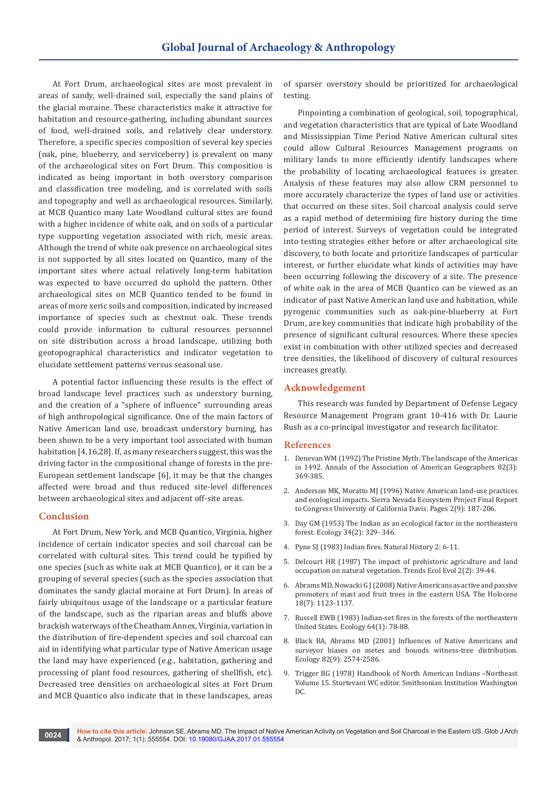At Fort Drum, archaeological sites are most prevalent in areas of sandy, well-drained soil, especially the sand plains of the glacial moraine. These characteristics make it attractive for habitation and resource-gathering, including abundant sources of food, well-drained soils, and relatively clear understory. Therefore, a specific species composition of several key species (oak, pine, blueberry, and serviceberry) is prevalent on many of the archaeological sites on Fort Drum. This composition is indicated as being important in both overstory comparison and classification tree modeling, and is correlated with soils and topography and well as archaeological resources. Similarly, at MCB Quantico many Late Woodland cultural sites are found with a higher incidence of white oak, and on soils of a particular type supporting vegetation associated with rich, mesic areas. Although the trend of white oak presence on archaeological sites is not supported by all sites located on Quantico, many of the important sites where actual relatively long-term habitation was expected to have occurred do uphold the pattern. Other archaeological sites on MCB Quantico tended to be found in areas of more xeric soils and composition, indicated by increased importance of species such as chestnut oak. These trends could provide information to cultural resources personnel on site distribution across a broad landscape, utilizing both geotopographical characteristics and indicator vegetation to elucidate settlement patterns versus seasonal use.

A potential factor influencing these results is the effect of broad landscape level practices such as understory burning, and the creation of a "sphere of influence" surrounding areas of high anthropological significance. One of the main factors of Native American land use, broadcast understory burning, has been shown to be a very important tool associated with human habitation [4,16,28]. If, as many researchers suggest, this was the driving factor in the compositional change of forests in the pre-European settlement landscape [6], it may be that the changes affected were broad and thus reduced site-level differences between archaeological sites and adjacent off-site areas.

### **Conclusion**

At Fort Drum, New York, and MCB Quantico, Virginia, higher incidence of certain indicator species and soil charcoal can be correlated with cultural sites. This trend could be typified by one species (such as white oak at MCB Quantico), or it can be a grouping of several species (such as the species association that dominates the sandy glacial moraine at Fort Drum). In areas of fairly ubiquitous usage of the landscape or a particular feature of the landscape, such as the riparian areas and bluffs above brackish waterways of the Cheatham Annex, Virginia, variation in the distribution of fire-dependent species and soil charcoal can aid in identifying what particular type of Native American usage the land may have experienced (e.g., habitation, gathering and processing of plant food resources, gathering of shellfish, etc). Decreased tree densities on archaeological sites at Fort Drum and MCB Quantico also indicate that in these landscapes, areas

of sparser overstory should be prioritized for archaeological testing.

Pinpointing a combination of geological, soil, topographical, and vegetation characteristics that are typical of Late Woodland and Mississippian Time Period Native American cultural sites could allow Cultural Resources Management programs on military lands to more efficiently identify landscapes where the probability of locating archaeological features is greater. Analysis of these features may also allow CRM personnel to more accurately characterize the types of land use or activities that occurred on these sites. Soil charcoal analysis could serve as a rapid method of determining fire history during the time period of interest. Surveys of vegetation could be integrated into testing strategies either before or after archaeological site discovery, to both locate and prioritize landscapes of particular interest, or further elucidate what kinds of activities may have been occurring following the discovery of a site. The presence of white oak in the area of MCB Quantico can be viewed as an indicator of past Native American land use and habitation, while pyrogenic communities such as oak-pine-blueberry at Fort Drum, are key communities that indicate high probability of the presence of significant cultural resources. Where these species exist in combination with other utilized species and decreased tree densities, the likelihood of discovery of cultural resources increases greatly.

### **Acknowledgement**

This research was funded by Department of Defense Legacy Resource Management Program grant 10-416 with Dr. Laurie Rush as a co-principal investigator and research facilitator.

#### **References**

- 1. [Denevan WM \(1992\) The Pristine Myth: The landscape of the Americas](http://onlinelibrary.wiley.com/doi/10.1111/j.1467-8306.1992.tb01965.x/abstract)  [in 1492. Annals of the Association of American Geographers 82\(3\):](http://onlinelibrary.wiley.com/doi/10.1111/j.1467-8306.1992.tb01965.x/abstract)  [369-385.](http://onlinelibrary.wiley.com/doi/10.1111/j.1467-8306.1992.tb01965.x/abstract)
- 2. [Anderson MK, Moratto MJ \(1996\) Native American land-use practices](http://digitalcommons.usu.edu/aspen_bib/1815/)  [and ecological impacts. Sierra Nevada Ecosystem Project Final Report](http://digitalcommons.usu.edu/aspen_bib/1815/)  [to Congress University of California Davis. Pages 2\(9\): 187-206.](http://digitalcommons.usu.edu/aspen_bib/1815/)
- 3. Day GM (1953) The Indian as an ecological factor in the northeastern forest. Ecology 34(2): 329- 346.
- 4. Pyne SJ (1983) Indian fires. Natural History 2: 6-11.
- 5. [Delcourt HR \(1987\) The impact of prehistoric agriculture and land](https://www.ncbi.nlm.nih.gov/pubmed/21227814)  [occupation on natural vegetation. Trends Ecol Evol 2\(2\): 39-44.](https://www.ncbi.nlm.nih.gov/pubmed/21227814)
- 6. [Abrams MD, Nowacki G J \(2008\) Native Americans as active and passive](http://journals.sagepub.com/doi/abs/10.1177/0959683608095581)  [promoters of mast and fruit trees in the eastern USA. The Holocene](http://journals.sagepub.com/doi/abs/10.1177/0959683608095581)  [18\(7\): 1123-1137.](http://journals.sagepub.com/doi/abs/10.1177/0959683608095581)
- 7. Russell EWB (1983) Indian-set fires in the forests of the northeastern United States. Ecology 64(1): 78-88.
- 8. [Black BA, Abrams MD \(2001\) Influences of Native Americans and](http://onlinelibrary.wiley.com/doi/10.1890/0012-9658(2001)082%5B2574:IONAAS%5D2.0.CO;2/full)  [surveyor biases on metes and bounds witness-tree distribution.](http://onlinelibrary.wiley.com/doi/10.1890/0012-9658(2001)082%5B2574:IONAAS%5D2.0.CO;2/full)  [Ecology 82\(9\): 2574-2586.](http://onlinelibrary.wiley.com/doi/10.1890/0012-9658(2001)082%5B2574:IONAAS%5D2.0.CO;2/full)
- 9. Trigger BG (1978) Handbook of North American Indians –Northeast Volume 15. Sturtevant WC editor. Smithsonian Institution Washington DC.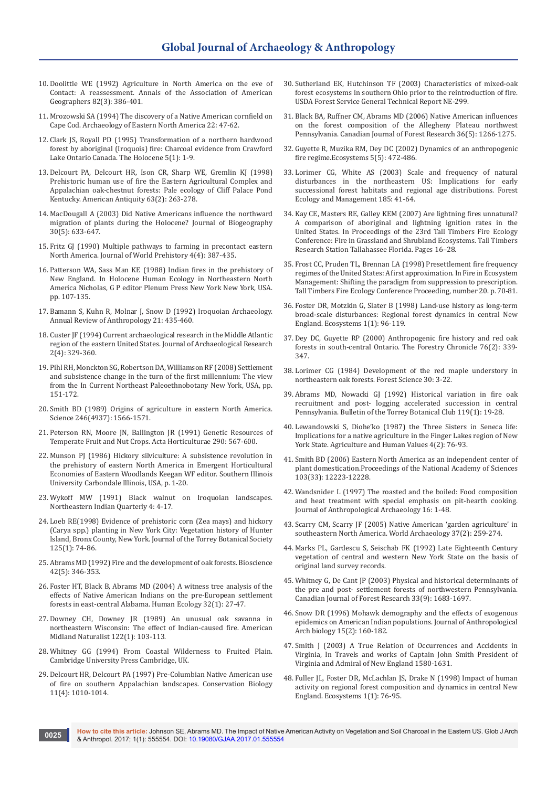- 10. [Doolittle WE \(1992\) Agriculture in North America on the eve of](http://onlinelibrary.wiley.com/doi/10.1111/j.1467-8306.1992.tb01966.x/abstract)  [Contact: A reassessment. Annals of the Association of American](http://onlinelibrary.wiley.com/doi/10.1111/j.1467-8306.1992.tb01966.x/abstract)  [Geographers 82\(3\): 386-401.](http://onlinelibrary.wiley.com/doi/10.1111/j.1467-8306.1992.tb01966.x/abstract)
- 11. Mrozowski SA (1994) The discovery of a Native American cornfield on Cape Cod. Archaeology of Eastern North America 22: 47-62.
- 12. [Clark JS, Royall PD \(1995\) Transformation of a northern hardwood](file:///D:/JOURNALS/GJAA/New%20folder/GJAA.MS.ID.555554/journals.sagepub.com/doi/abs/10.1177/095968369500500101)  [forest by aboriginal \(Iroquois\) fire: Charcoal evidence from Crawford](file:///D:/JOURNALS/GJAA/New%20folder/GJAA.MS.ID.555554/journals.sagepub.com/doi/abs/10.1177/095968369500500101)  [Lake Ontario Canada. The Holocene 5\(1\): 1-9.](file:///D:/JOURNALS/GJAA/New%20folder/GJAA.MS.ID.555554/journals.sagepub.com/doi/abs/10.1177/095968369500500101)
- 13. Delcourt PA, Delcourt HR, Ison CR, Sharp WE, Gremlin KJ (1998) Prehistoric human use of fire the Eastern Agricultural Complex and Appalachian oak-chestnut forests: Pale ecology of Cliff Palace Pond Kentucky. American Antiquity 63(2): 263-278.
- 14. [MacDougall A \(2003\) Did Native Americans influence the northward](http://onlinelibrary.wiley.com/doi/10.1046/j.1365-2699.2003.00842.x/abstract)  [migration of plants during the Holocene? Journal of Biogeography](http://onlinelibrary.wiley.com/doi/10.1046/j.1365-2699.2003.00842.x/abstract)  [30\(5\): 633-647.](http://onlinelibrary.wiley.com/doi/10.1046/j.1365-2699.2003.00842.x/abstract)
- 15. Fritz GJ (1990) Multiple pathways to farming in precontact eastern North America. Journal of World Prehistory 4(4): 387-435.
- 16. Patterson WA, Sass Man KE (1988) Indian fires in the prehistory of New England. In Holocene Human Ecology in Northeastern North America Nicholas, G P editor Plenum Press New York New York, USA. pp. 107-135.
- 17. Bamann S, Kuhn R, Molnar J, Snow D (1992) Iroquoian Archaeology. Annual Review of Anthropology 21: 435-460.
- 18. [Custer JF \(1994\) Current archaeological research in the Middle Atlantic](http://link.springer.com/article/10.1007/BF02231483)  [region of the eastern United States. Journal of Archaeological Research](http://link.springer.com/article/10.1007/BF02231483)  [2\(4\): 329-360.](http://link.springer.com/article/10.1007/BF02231483)
- 19. Pihl RH, Monckton SG, Robertson DA, Williamson RF (2008) Settlement and subsistence change in the turn of the first millennium: The view from the In Current Northeast Paleoethnobotany New York, USA, pp. 151-172.
- 20. [Smith BD \(1989\) Origins of agriculture in eastern North America.](https://www.ncbi.nlm.nih.gov/pubmed/17834420)  [Science 246\(4937\): 1566-1571.](https://www.ncbi.nlm.nih.gov/pubmed/17834420)
- 21. Peterson RN, Moore JN, Ballington JR (1991) Genetic Resources of Temperate Fruit and Nut Crops. Acta Horticulturae 290: 567-600.
- 22. Munson PJ (1986) Hickory silviculture: A subsistence revolution in the prehistory of eastern North America in Emergent Horticultural Economies of Eastern Woodlands Keegan WF editor. Southern Illinois University Carbondale Illinois, USA, p. 1-20.
- 23. Wykoff MW (1991) Black walnut on Iroquoian landscapes. Northeastern Indian Quarterly 4: 4-17.
- 24. Loeb RE(1998) Evidence of prehistoric corn (Zea mays) and hickory (Carya spp.) planting in New York City: Vegetation history of Hunter Island, Bronx County, New York. Journal of the Torrey Botanical Society 125(1): 74-86.
- 25. [Abrams MD \(1992\) Fire and the development of oak forests. Bioscience](http://www.personal.psu.edu/~users/a/g/agl/1992%20Bioscience%2042%20346%20353.pdf)  [42\(5\): 346-353.](http://www.personal.psu.edu/~users/a/g/agl/1992%20Bioscience%2042%20346%20353.pdf)
- 26. [Foster HT, Black B, Abrams MD \(2004\) A witness tree analysis of the](http://link.springer.com/article/10.1023/B:HUEC.0000015211.98991.9c)  [effects of Native American Indians on the pre-European settlement](http://link.springer.com/article/10.1023/B:HUEC.0000015211.98991.9c)  [forests in east-central Alabama. Human Ecology 32\(1\): 27-47.](http://link.springer.com/article/10.1023/B:HUEC.0000015211.98991.9c)
- 27. Downey CH, Downey JR (1989) An unusual oak savanna in northeastern Wisconsin: The effect of Indian-caused fire. American Midland Naturalist 122(1): 103-113.
- 28. Whitney GG (1994) From Coastal Wilderness to Fruited Plain. Cambridge University Press Cambridge, UK.
- 29. [Delcourt HR, Delcourt PA \(1997\) Pre-Columbian Native American use](http://onlinelibrary.wiley.com/doi/10.1046/j.1523-1739.1997.96338.x/full)  [of fire on southern Appalachian landscapes. Conservation Biology](http://onlinelibrary.wiley.com/doi/10.1046/j.1523-1739.1997.96338.x/full)  [11\(4\): 1010-1014.](http://onlinelibrary.wiley.com/doi/10.1046/j.1523-1739.1997.96338.x/full)
- 30. Sutherland EK, Hutchinson TF (2003) Characteristics of mixed-oak forest ecosystems in southern Ohio prior to the reintroduction of fire. USDA Forest Service General Technical Report NE-299.
- 31. Black BA, Ruffner CM, Abrams MD (2006) Native American influences on the forest composition of the Allegheny Plateau northwest Pennsylvania. Canadian Journal of Forest Research 36(5): 1266-1275.
- 32. [Guyette R, Muzika RM, Dey DC \(2002\) Dynamics of an anthropogenic](https://www.treesearch.fs.fed.us/pubs/14040)  [fire regime.Ecosystems 5\(5\): 472-486.](https://www.treesearch.fs.fed.us/pubs/14040)
- 33. [Lorimer CG, White AS \(2003\) Scale and frequency of natural](http://agris.fao.org/agris-search/search.do?recordID=US201400063422)  [disturbances in the northeastern US: Implications for early](http://agris.fao.org/agris-search/search.do?recordID=US201400063422)  [successional forest habitats and regional age distributions. Forest](http://agris.fao.org/agris-search/search.do?recordID=US201400063422)  [Ecology and Management 185: 41-64.](http://agris.fao.org/agris-search/search.do?recordID=US201400063422)
- 34. [Kay CE, Masters RE, Galley KEM \(2007\) Are lightning fires unnatural?](http://idahoforwildlife.com/Charles%20Kay/71-Are%20lightning%20fires%20unnatural-A%20comparison%20of%20aboriginal%20and%20lighting%20fire%20ignition%20rates%20in%20the%20USA.pdf)  [A comparison of aboriginal and lightning ignition rates in the](http://idahoforwildlife.com/Charles%20Kay/71-Are%20lightning%20fires%20unnatural-A%20comparison%20of%20aboriginal%20and%20lighting%20fire%20ignition%20rates%20in%20the%20USA.pdf)  [United States. In Proceedings of the 23rd Tall Timbers Fire Ecology](http://idahoforwildlife.com/Charles%20Kay/71-Are%20lightning%20fires%20unnatural-A%20comparison%20of%20aboriginal%20and%20lighting%20fire%20ignition%20rates%20in%20the%20USA.pdf)  [Conference: Fire in Grassland and Shrubland Ecosystems. Tall Timbers](http://idahoforwildlife.com/Charles%20Kay/71-Are%20lightning%20fires%20unnatural-A%20comparison%20of%20aboriginal%20and%20lighting%20fire%20ignition%20rates%20in%20the%20USA.pdf)  [Research Station Tallahassee Florida. Pages 16–28.](http://idahoforwildlife.com/Charles%20Kay/71-Are%20lightning%20fires%20unnatural-A%20comparison%20of%20aboriginal%20and%20lighting%20fire%20ignition%20rates%20in%20the%20USA.pdf)
- 35. Frost CC, Pruden TL, Brennan LA (1998) Presettlement fire frequency regimes of the United States: A first approximation. In Fire in Ecosystem Management: Shifting the paradigm from suppression to prescription. Tall Timbers Fire Ecology Conference Proceeding, number 20. p. 70-81.
- 36. [Foster DR, Motzkin G, Slater B \(1998\) Land-use history as long-term](http://link.springer.com/article/10.1007/s100219900008)  [broad-scale disturbances: Regional forest dynamics in central New](http://link.springer.com/article/10.1007/s100219900008)  [England. Ecosystems 1\(1\): 96-119.](http://link.springer.com/article/10.1007/s100219900008)
- 37. [Dey DC, Guyette RP \(2000\) Anthropogenic fire history and red oak](https://www.treesearch.fs.fed.us/pubs/12174)  [forests in south-central Ontario. The Forestry Chronicle 76\(2\): 339-](https://www.treesearch.fs.fed.us/pubs/12174) [347.](https://www.treesearch.fs.fed.us/pubs/12174)
- 38. Lorimer CG (1984) Development of the red maple understory in northeastern oak forests. Forest Science 30: 3-22.
- 39. Abrams MD, Nowacki GJ (1992) Historical variation in fire oak recruitment and post- logging accelerated succession in central Pennsylvania. Bulletin of the Torrey Botanical Club 119(1): 19-28.
- 40. [Lewandowski S, Diohe'ko \(1987\) the Three Sisters in Seneca life:](http://link.springer.com/article/10.1007/BF01530644)  [Implications for a native agriculture in the Finger Lakes region of New](http://link.springer.com/article/10.1007/BF01530644)  [York State. Agriculture and Human Values 4\(2\): 76-93.](http://link.springer.com/article/10.1007/BF01530644)
- 41. [Smith BD \(2006\) Eastern North America as an independent center of](http://www.pnas.org/content/103/33/12223.full)  [plant domestication.Proceedings of the National Academy of Sciences](http://www.pnas.org/content/103/33/12223.full)  [103\(33\): 12223-12228.](http://www.pnas.org/content/103/33/12223.full)
- 42. [Wandsnider L \(1997\) The roasted and the boiled: Food composition](https://pdfs.semanticscholar.org/4aac/db10a777daf37aaed6f98598820b62de21ef.pdf)  [and heat treatment with special emphasis on pit-hearth cooking.](https://pdfs.semanticscholar.org/4aac/db10a777daf37aaed6f98598820b62de21ef.pdf)  [Journal of Anthropological Archaeology 16: 1-48.](https://pdfs.semanticscholar.org/4aac/db10a777daf37aaed6f98598820b62de21ef.pdf)
- 43. Scarry CM, Scarry JF (2005) Native American 'garden agriculture' in southeastern North America. World Archaeology 37(2): 259-274.
- 44. [Marks PL, Gardescu S, Seischab FK \(1992\) Late Eighteenth Century](https://books.google.co.in/books/about/Late_eighteenth_century_vegetation_of_ce.html?id=WjxDAAAAIAAJ&redir_esc=y)  [vegetation of central and western New York State on the basis of](https://books.google.co.in/books/about/Late_eighteenth_century_vegetation_of_ce.html?id=WjxDAAAAIAAJ&redir_esc=y)  [original land survey records.](https://books.google.co.in/books/about/Late_eighteenth_century_vegetation_of_ce.html?id=WjxDAAAAIAAJ&redir_esc=y)
- 45. [Whitney G, De Cant JP \(2003\) Physical and historical determinants of](http://agris.fao.org/agris-search/search.do?recordID=US201300939402)  [the pre and post- settlement forests of northwestern Pennsylvania.](http://agris.fao.org/agris-search/search.do?recordID=US201300939402)  [Canadian Journal of Forest Research 33\(9\): 1683-1697.](http://agris.fao.org/agris-search/search.do?recordID=US201300939402)
- 46. [Snow DR \(1996\) Mohawk demography and the effects of exogenous](http://www.sciencedirect.com/science/article/pii/S0278416596900069)  [epidemics on American Indian populations. Journal of Anthropological](http://www.sciencedirect.com/science/article/pii/S0278416596900069)  [Arch biology 15\(2\): 160-182.](http://www.sciencedirect.com/science/article/pii/S0278416596900069)
- 47. Smith J (2003) A True Relation of Occurrences and Accidents in Virginia, In Travels and works of Captain John Smith President of Virginia and Admiral of New England 1580-1631.
- 48. [Fuller JL, Foster DR, McLachlan JS, Drake N \(1998\) Impact of human](http://link.springer.com/article/10.1007/s100219900007)  [activity on regional forest composition and dynamics in central New](http://link.springer.com/article/10.1007/s100219900007)  [England. Ecosystems 1\(1\): 76-95.](http://link.springer.com/article/10.1007/s100219900007)